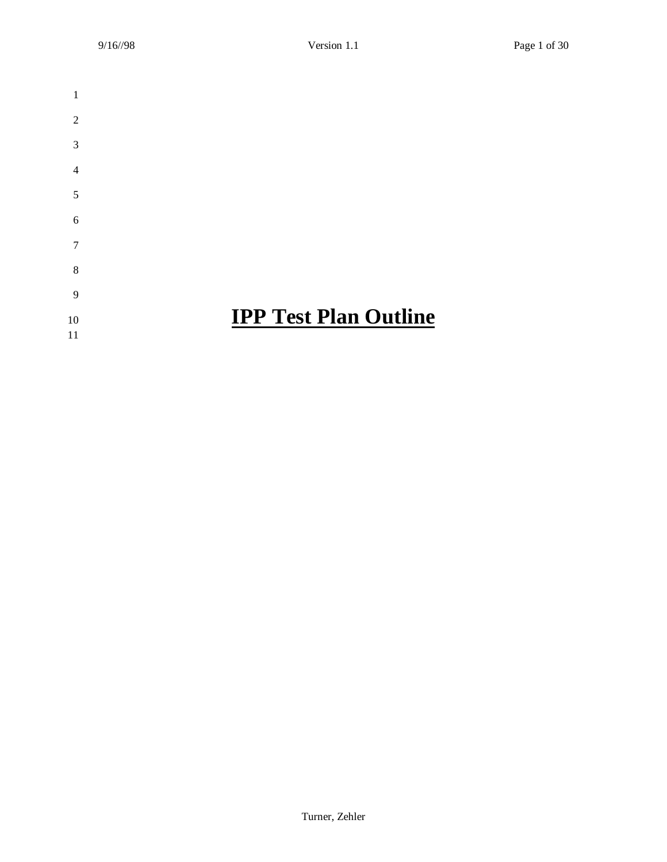| 1              |                              |
|----------------|------------------------------|
| $\overline{2}$ |                              |
| 3              |                              |
| $\overline{4}$ |                              |
| 5              |                              |
| 6              |                              |
| 7              |                              |
| 8              |                              |
| 9              |                              |
| 10             | <b>IPP Test Plan Outline</b> |
| 11             |                              |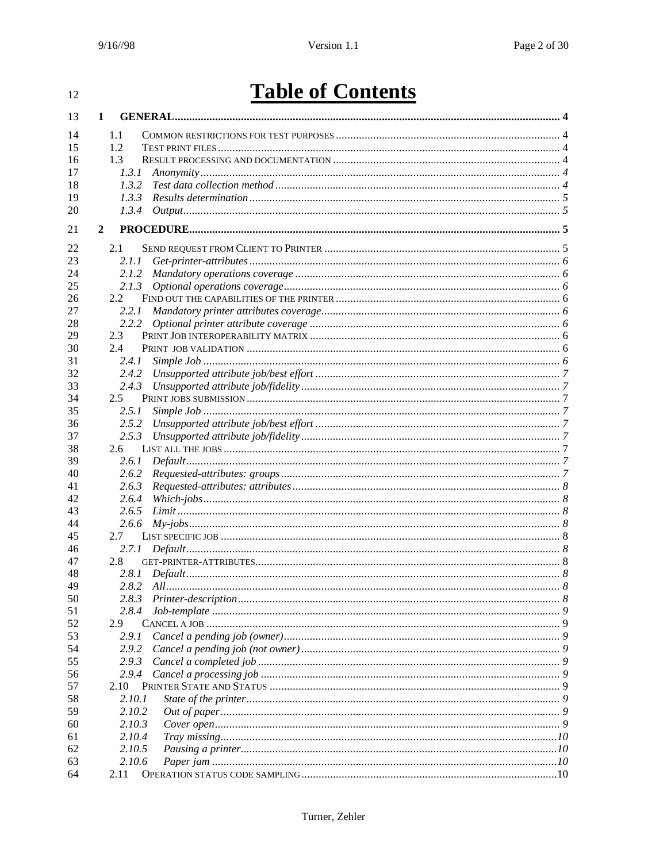#### $12\,$

# **Table of Contents**

| 13 | $\mathbf{1}$  |        |  |
|----|---------------|--------|--|
| 14 | 1.1           |        |  |
| 15 | 1.2           |        |  |
| 16 | 1.3           |        |  |
| 17 |               | 1.3.1  |  |
| 18 |               | 1.3.2  |  |
| 19 |               | 1.3.3  |  |
| 20 |               | 1.3.4  |  |
|    |               |        |  |
| 21 | $\mathbf{2}$  |        |  |
| 22 | 2.1           |        |  |
| 23 |               | 2.1.1  |  |
| 24 |               | 2.1.2  |  |
| 25 |               | 2.1.3  |  |
| 26 | 2.2           |        |  |
| 27 |               | 2.2.1  |  |
| 28 |               | 2.2.2  |  |
| 29 | 2.3           |        |  |
| 30 | 2.4           |        |  |
| 31 |               | 2.4.1  |  |
| 32 |               | 2.4.2  |  |
| 33 |               | 2.4.3  |  |
| 34 | $2.5^{\circ}$ |        |  |
| 35 |               | 2.5.1  |  |
| 36 |               | 2.5.2  |  |
| 37 |               | 2.5.3  |  |
| 38 | 2.6           |        |  |
| 39 |               | 2.6.1  |  |
| 40 |               | 2.6.2  |  |
| 41 |               | 2.6.3  |  |
| 42 |               | 2.6.4  |  |
| 43 |               | 2.6.5  |  |
| 44 |               | 2.6.6  |  |
| 45 | 2.7           |        |  |
| 46 |               | 2.7.1  |  |
| 47 | 2.8           |        |  |
| 48 |               | 2.8.1  |  |
| 49 |               |        |  |
| 50 |               |        |  |
| 51 |               | 2.8.4  |  |
| 52 | 2.9           |        |  |
| 53 |               | 2.9.1  |  |
| 54 |               | 2.9.2  |  |
| 55 |               | 2.9.3  |  |
| 56 |               | 2.9.4  |  |
| 57 | 2.10          |        |  |
| 58 |               | 2.10.1 |  |
| 59 |               | 2.10.2 |  |
| 60 |               | 2.10.3 |  |
| 61 |               | 2.10.4 |  |
| 62 |               | 2.10.5 |  |
| 63 |               | 2.10.6 |  |
| 64 | 2.11          |        |  |
|    |               |        |  |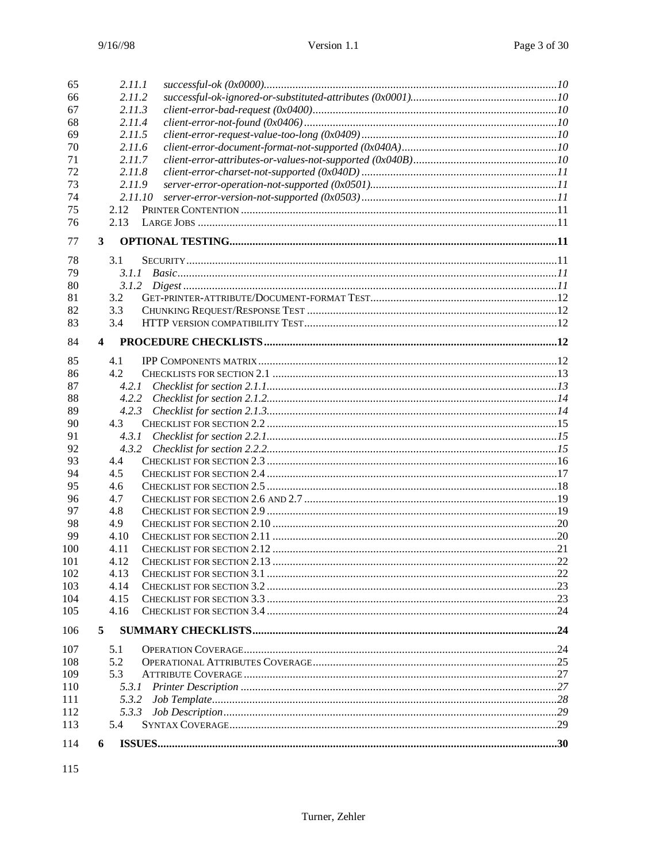| 65  | 2.11.1                  |  |
|-----|-------------------------|--|
| 66  | 2.11.2                  |  |
| 67  | 2.11.3                  |  |
| 68  | 2.11.4                  |  |
| 69  | 2.11.5                  |  |
| 70  | 2.11.6                  |  |
| 71  | 2.11.7                  |  |
| 72  | 2.11.8                  |  |
| 73  | 2.11.9                  |  |
| 74  | 2.11.10                 |  |
| 75  | 2.12                    |  |
| 76  | 2.13                    |  |
|     |                         |  |
| 77  | 3                       |  |
| 78  | 3.1                     |  |
| 79  |                         |  |
| 80  |                         |  |
| 81  | 3.2                     |  |
| 82  | 3.3                     |  |
| 83  | 3.4                     |  |
|     |                         |  |
| 84  | $\overline{\mathbf{4}}$ |  |
| 85  | 4.1                     |  |
| 86  | 4.2                     |  |
| 87  |                         |  |
| 88  |                         |  |
| 89  |                         |  |
| 90  | 4.3                     |  |
| 91  |                         |  |
| 92  |                         |  |
| 93  | 4.4                     |  |
| 94  | 4.5                     |  |
| 95  | 4.6                     |  |
| 96  | 4.7                     |  |
| 97  | 4.8                     |  |
| 98  | 4.9                     |  |
| 99  | 4.10                    |  |
| 100 | 4.11                    |  |
| 101 | 4.12                    |  |
| 102 | 4.13                    |  |
| 103 | 4.14                    |  |
| 104 | 4.15                    |  |
| 105 | 4.16                    |  |
|     |                         |  |
| 106 | 5                       |  |
| 107 | 5.1                     |  |
| 108 | 5.2                     |  |
| 109 | 5.3                     |  |
| 110 | 5.3.1                   |  |
| 111 | 5.3.2                   |  |
| 112 | 5.3.3                   |  |
| 113 | 5.4                     |  |
| 114 | 6                       |  |
|     |                         |  |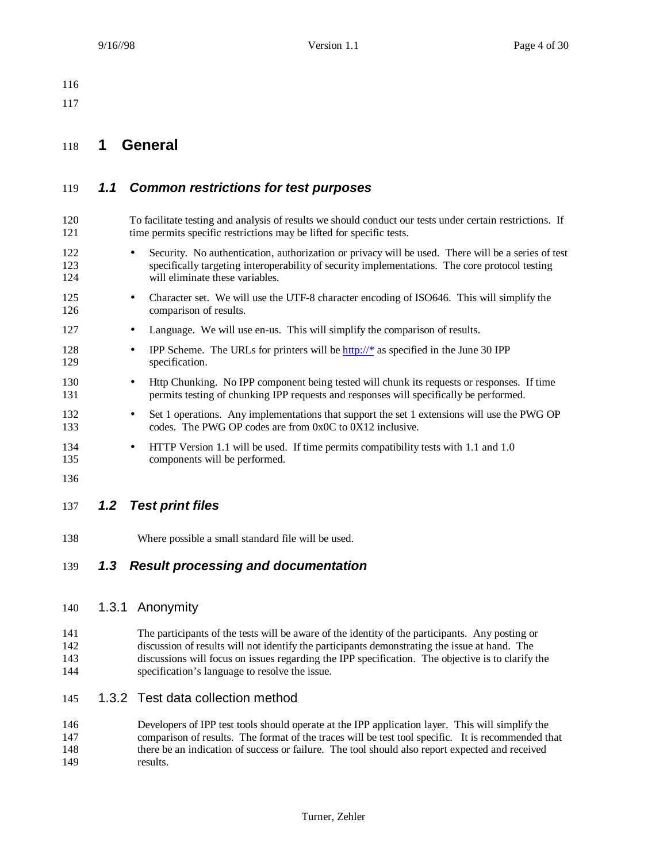## **1 General**

## *1.1 Common restrictions for test purposes*

- To facilitate testing and analysis of results we should conduct our tests under certain restrictions. If 121 time permits specific restrictions may be lifted for specific tests.
- Security. No authentication, authorization or privacy will be used. There will be a series of test specifically targeting interoperability of security implementations. The core protocol testing 124 will eliminate these variables.
- 125 Character set. We will use the UTF-8 character encoding of ISO646. This will simplify the comparison of results.
- 127 Language. We will use en-us. This will simplify the comparison of results.
- 128 IPP Scheme. The URLs for printers will be http://\* as specified in the June 30 IPP specification.
- 130 Http Chunking. No IPP component being tested will chunk its requests or responses. If time permits testing of chunking IPP requests and responses will specifically be performed.
- 132 Set 1 operations. Any implementations that support the set 1 extensions will use the PWG OP codes. The PWG OP codes are from 0x0C to 0X12 inclusive.
- 134 HTTP Version 1.1 will be used. If time permits compatibility tests with 1.1 and 1.0 components will be performed.
- 

## *1.2 Test print files*

Where possible a small standard file will be used.

## *1.3 Result processing and documentation*

#### 1.3.1 Anonymity

 The participants of the tests will be aware of the identity of the participants. Any posting or discussion of results will not identify the participants demonstrating the issue at hand. The discussions will focus on issues regarding the IPP specification. The objective is to clarify the specification's language to resolve the issue.

#### 1.3.2 Test data collection method

 Developers of IPP test tools should operate at the IPP application layer. This will simplify the comparison of results. The format of the traces will be test tool specific. It is recommended that there be an indication of success or failure. The tool should also report expected and received results.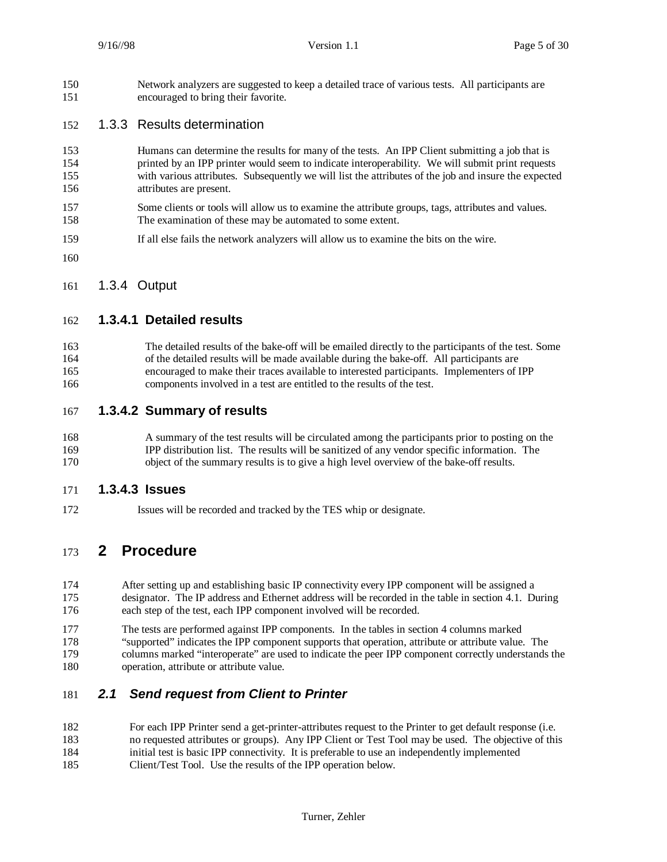Network analyzers are suggested to keep a detailed trace of various tests. All participants are encouraged to bring their favorite.

#### 1.3.3 Results determination

- Humans can determine the results for many of the tests. An IPP Client submitting a job that is printed by an IPP printer would seem to indicate interoperability. We will submit print requests with various attributes. Subsequently we will list the attributes of the job and insure the expected attributes are present.
- Some clients or tools will allow us to examine the attribute groups, tags, attributes and values. The examination of these may be automated to some extent.
- If all else fails the network analyzers will allow us to examine the bits on the wire.
- 

1.3.4 Output

#### **1.3.4.1 Detailed results**

 The detailed results of the bake-off will be emailed directly to the participants of the test. Some of the detailed results will be made available during the bake-off. All participants are encouraged to make their traces available to interested participants. Implementers of IPP components involved in a test are entitled to the results of the test.

- **1.3.4.2 Summary of results**
- A summary of the test results will be circulated among the participants prior to posting on the IPP distribution list. The results will be sanitized of any vendor specific information. The object of the summary results is to give a high level overview of the bake-off results.

#### **1.3.4.3 Issues**

Issues will be recorded and tracked by the TES whip or designate.

## **2 Procedure**

- After setting up and establishing basic IP connectivity every IPP component will be assigned a designator. The IP address and Ethernet address will be recorded in the table in section 4.1. During each step of the test, each IPP component involved will be recorded.
- The tests are performed against IPP components. In the tables in section 4 columns marked "supported" indicates the IPP component supports that operation, attribute or attribute value. The columns marked "interoperate" are used to indicate the peer IPP component correctly understands the operation, attribute or attribute value.

## *2.1 Send request from Client to Printer*

- For each IPP Printer send a get-printer-attributes request to the Printer to get default response (i.e. no requested attributes or groups). Any IPP Client or Test Tool may be used. The objective of this initial test is basic IPP connectivity. It is preferable to use an independently implemented Client/Test Tool. Use the results of the IPP operation below.
	- Turner, Zehler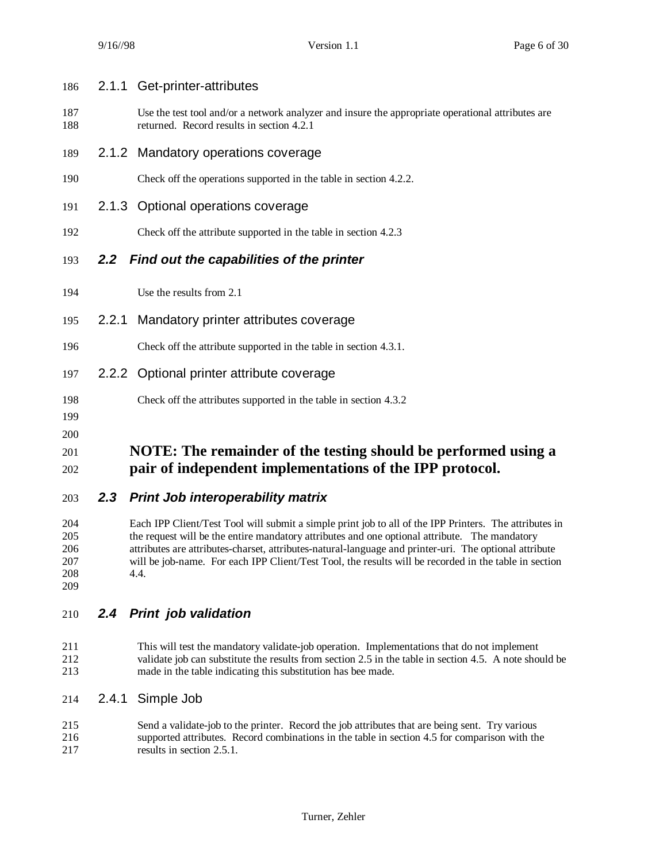| 203        |       | 2.3 Print Job interoperability matrix                                                                                                          |
|------------|-------|------------------------------------------------------------------------------------------------------------------------------------------------|
| 201<br>202 |       | NOTE: The remainder of the testing should be performed using a<br>pair of independent implementations of the IPP protocol.                     |
| 199<br>200 |       |                                                                                                                                                |
| 198        |       | Check off the attributes supported in the table in section 4.3.2                                                                               |
| 197        |       | 2.2.2 Optional printer attribute coverage                                                                                                      |
| 196        |       | Check off the attribute supported in the table in section 4.3.1.                                                                               |
| 195        | 2.2.1 | Mandatory printer attributes coverage                                                                                                          |
| 194        |       | Use the results from 2.1                                                                                                                       |
| 193        |       | 2.2 Find out the capabilities of the printer                                                                                                   |
| 192        |       | Check off the attribute supported in the table in section 4.2.3                                                                                |
| 191        |       | 2.1.3 Optional operations coverage                                                                                                             |
| 190        |       | Check off the operations supported in the table in section 4.2.2.                                                                              |
| 189        |       | 2.1.2 Mandatory operations coverage                                                                                                            |
| 187<br>188 |       | Use the test tool and/or a network analyzer and insure the appropriate operational attributes are<br>returned. Record results in section 4.2.1 |
| 186        |       | 2.1.1 Get-printer-attributes                                                                                                                   |

 Each IPP Client/Test Tool will submit a simple print job to all of the IPP Printers. The attributes in the request will be the entire mandatory attributes and one optional attribute. The mandatory attributes are attributes-charset, attributes-natural-language and printer-uri. The optional attribute will be job-name. For each IPP Client/Test Tool, the results will be recorded in the table in section 4.4. 

- *2.4 Print job validation*
- This will test the mandatory validate-job operation. Implementations that do not implement 212 validate job can substitute the results from section 2.5 in the table in section 4.5. A note should be made in the table indicating this substitution has bee made. made in the table indicating this substitution has bee made.
- 2.4.1 Simple Job
- Send a validate-job to the printer. Record the job attributes that are being sent. Try various supported attributes. Record combinations in the table in section 4.5 for comparison with the 217 results in section 2.5.1.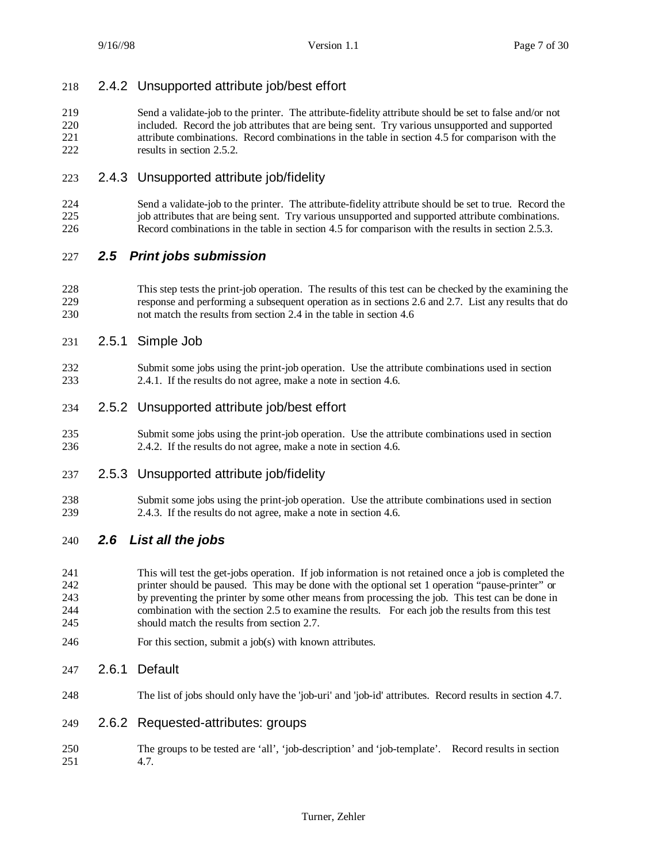## 2.4.2 Unsupported attribute job/best effort

 Send a validate-job to the printer. The attribute-fidelity attribute should be set to false and/or not included. Record the job attributes that are being sent. Try various unsupported and supported attribute combinations. Record combinations in the table in section 4.5 for comparison with the 222 results in section 2.5.2.

## 2.4.3 Unsupported attribute job/fidelity

 Send a validate-job to the printer. The attribute-fidelity attribute should be set to true. Record the job attributes that are being sent. Try various unsupported and supported attribute combinations. Record combinations in the table in section 4.5 for comparison with the results in section 2.5.3.

## *2.5 Print jobs submission*

- This step tests the print-job operation. The results of this test can be checked by the examining the response and performing a subsequent operation as in sections 2.6 and 2.7. List any results that do not match the results from section 2.4 in the table in section 4.6
- 2.5.1 Simple Job
- Submit some jobs using the print-job operation. Use the attribute combinations used in section 2.4.1. If the results do not agree, make a note in section 4.6.

## 2.5.2 Unsupported attribute job/best effort

 Submit some jobs using the print-job operation. Use the attribute combinations used in section 2.4.2. If the results do not agree, make a note in section 4.6.

#### 2.5.3 Unsupported attribute job/fidelity

 Submit some jobs using the print-job operation. Use the attribute combinations used in section 2.4.3. If the results do not agree, make a note in section 4.6.

## *2.6 List all the jobs*

 This will test the get-jobs operation. If job information is not retained once a job is completed the printer should be paused. This may be done with the optional set 1 operation "pause-printer" or by preventing the printer by some other means from processing the job. This test can be done in combination with the section 2.5 to examine the results. For each job the results from this test should match the results from section 2.7.

For this section, submit a job(s) with known attributes.

#### 2.6.1 Default

- The list of jobs should only have the 'job-uri' and 'job-id' attributes. Record results in section 4.7.
- 2.6.2 Requested-attributes: groups
- The groups to be tested are 'all', 'job-description' and 'job-template'. Record results in section 4.7.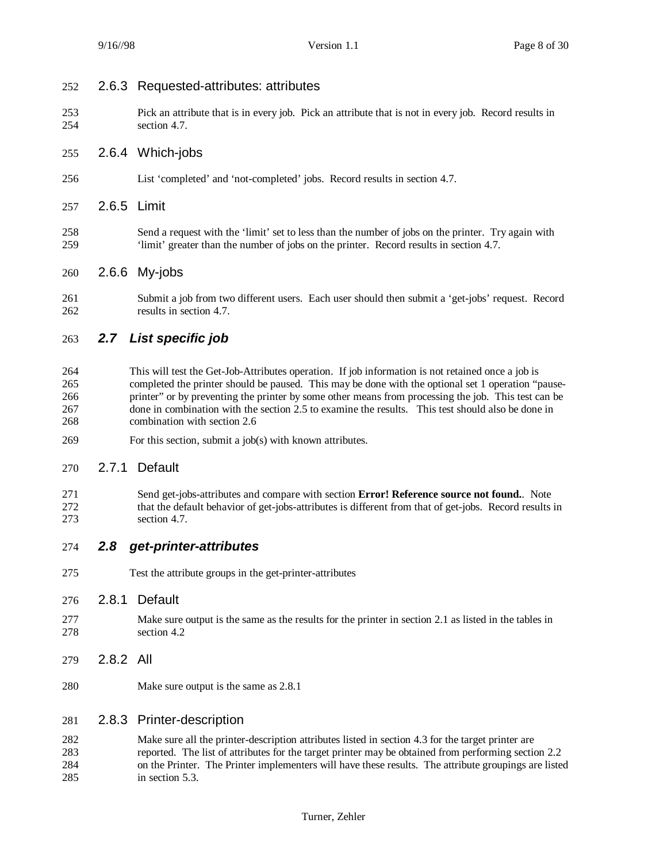## 2.6.3 Requested-attributes: attributes

 Pick an attribute that is in every job. Pick an attribute that is not in every job. Record results in section 4.7.

#### 2.6.4 Which-jobs

- List 'completed' and 'not-completed' jobs. Record results in section 4.7.
- 2.6.5 Limit
- Send a request with the 'limit' set to less than the number of jobs on the printer. Try again with 'limit' greater than the number of jobs on the printer. Record results in section 4.7.
- 2.6.6 My-jobs
- Submit a job from two different users. Each user should then submit a 'get-jobs' request. Record results in section 4.7.

## *2.7 List specific job*

- This will test the Get-Job-Attributes operation. If job information is not retained once a job is completed the printer should be paused. This may be done with the optional set 1 operation "pause- printer" or by preventing the printer by some other means from processing the job. This test can be done in combination with the section 2.5 to examine the results. This test should also be done in combination with section 2.6
- For this section, submit a job(s) with known attributes.

#### 2.7.1 Default

 Send get-jobs-attributes and compare with section **Error! Reference source not found.**. Note that the default behavior of get-jobs-attributes is different from that of get-jobs. Record results in section 4.7.

#### *2.8 get-printer-attributes*

Test the attribute groups in the get-printer-attributes

#### 2.8.1 Default

- Make sure output is the same as the results for the printer in section 2.1 as listed in the tables in section 4.2
- 2.8.2 All
- Make sure output is the same as 2.8.1

#### 2.8.3 Printer-description

 Make sure all the printer-description attributes listed in section 4.3 for the target printer are reported. The list of attributes for the target printer may be obtained from performing section 2.2 on the Printer. The Printer implementers will have these results. The attribute groupings are listed in section 5.3.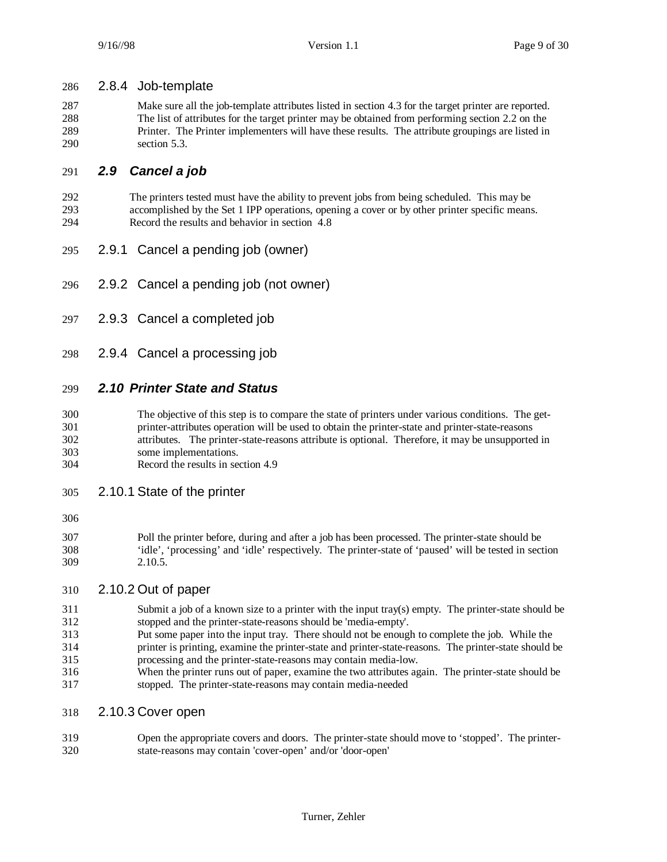#### 2.8.4 Job-template

 Make sure all the job-template attributes listed in section 4.3 for the target printer are reported. The list of attributes for the target printer may be obtained from performing section 2.2 on the Printer. The Printer implementers will have these results. The attribute groupings are listed in section 5.3.

#### *2.9 Cancel a job*

- The printers tested must have the ability to prevent jobs from being scheduled. This may be accomplished by the Set 1 IPP operations, opening a cover or by other printer specific means. Record the results and behavior in section 4.8
- 2.9.1 Cancel a pending job (owner)
- 2.9.2 Cancel a pending job (not owner)
- 2.9.3 Cancel a completed job
- 2.9.4 Cancel a processing job

#### *2.10 Printer State and Status*

- The objective of this step is to compare the state of printers under various conditions. The get- printer-attributes operation will be used to obtain the printer-state and printer-state-reasons attributes. The printer-state-reasons attribute is optional. Therefore, it may be unsupported in some implementations.
- Record the results in section 4.9
- 2.10.1 State of the printer
- 
- Poll the printer before, during and after a job has been processed. The printer-state should be 'idle', 'processing' and 'idle' respectively. The printer-state of 'paused' will be tested in section 2.10.5.

#### 2.10.2 Out of paper

- Submit a job of a known size to a printer with the input tray(s) empty. The printer-state should be stopped and the printer-state-reasons should be 'media-empty'.
- Put some paper into the input tray. There should not be enough to complete the job. While the
- printer is printing, examine the printer-state and printer-state-reasons. The printer-state should be processing and the printer-state-reasons may contain media-low.
- When the printer runs out of paper, examine the two attributes again. The printer-state should be stopped. The printer-state-reasons may contain media-needed
- 2.10.3 Cover open
- Open the appropriate covers and doors. The printer-state should move to 'stopped'. The printer-state-reasons may contain 'cover-open' and/or 'door-open'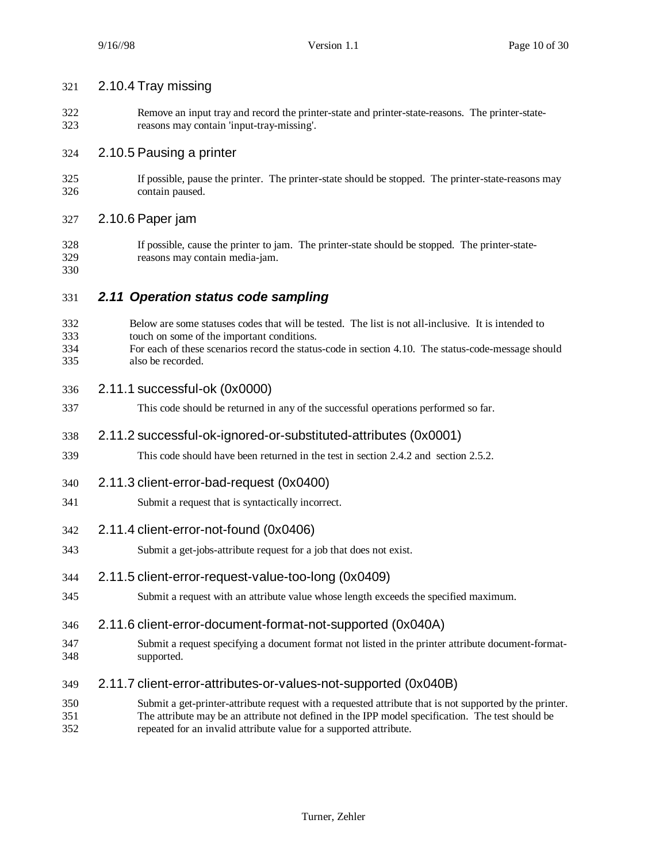| 321 | 2.10.4 Tray missing |  |
|-----|---------------------|--|
|     |                     |  |

 Remove an input tray and record the printer-state and printer-state-reasons. The printer-state-reasons may contain 'input-tray-missing'.

#### 2.10.5 Pausing a printer

 If possible, pause the printer. The printer-state should be stopped. The printer-state-reasons may contain paused.

#### 2.10.6 Paper jam

- If possible, cause the printer to jam. The printer-state should be stopped. The printer-state-reasons may contain media-jam.
- 

## *2.11 Operation status code sampling*

- Below are some statuses codes that will be tested. The list is not all-inclusive. It is intended to touch on some of the important conditions. For each of these scenarios record the status-code in section 4.10. The status-code-message should also be recorded.
- 2.11.1 successful-ok (0x0000)
- This code should be returned in any of the successful operations performed so far.

## 2.11.2 successful-ok-ignored-or-substituted-attributes (0x0001)

- This code should have been returned in the test in section 2.4.2 and section 2.5.2.
- 2.11.3 client-error-bad-request (0x0400)
- Submit a request that is syntactically incorrect.
- 2.11.4 client-error-not-found (0x0406)
- Submit a get-jobs-attribute request for a job that does not exist.
- 2.11.5 client-error-request-value-too-long (0x0409)
- Submit a request with an attribute value whose length exceeds the specified maximum.

#### 2.11.6 client-error-document-format-not-supported (0x040A)

- Submit a request specifying a document format not listed in the printer attribute document-format-supported.
- 2.11.7 client-error-attributes-or-values-not-supported (0x040B)
- Submit a get-printer-attribute request with a requested attribute that is not supported by the printer. The attribute may be an attribute not defined in the IPP model specification. The test should be repeated for an invalid attribute value for a supported attribute.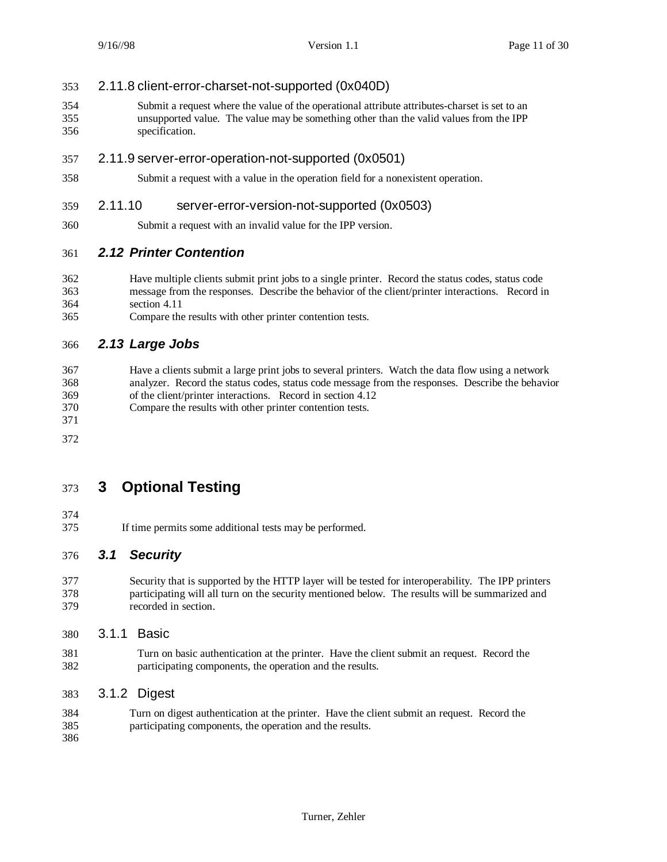## 2.11.8 client-error-charset-not-supported (0x040D)

 Submit a request where the value of the operational attribute attributes-charset is set to an unsupported value. The value may be something other than the valid values from the IPP specification.

## 2.11.9 server-error-operation-not-supported (0x0501)

Submit a request with a value in the operation field for a nonexistent operation.

## 2.11.10 server-error-version-not-supported (0x0503)

Submit a request with an invalid value for the IPP version.

## *2.12 Printer Contention*

- Have multiple clients submit print jobs to a single printer. Record the status codes, status code message from the responses. Describe the behavior of the client/printer interactions. Record in section 4.11
- Compare the results with other printer contention tests.

## *2.13 Large Jobs*

 Have a clients submit a large print jobs to several printers. Watch the data flow using a network analyzer. Record the status codes, status code message from the responses. Describe the behavior of the client/printer interactions. Record in section 4.12

- Compare the results with other printer contention tests.
- 

## **3 Optional Testing**

- 
- If time permits some additional tests may be performed.

## *3.1 Security*

 Security that is supported by the HTTP layer will be tested for interoperability. The IPP printers participating will all turn on the security mentioned below. The results will be summarized and recorded in section.

- 3.1.1 Basic
- Turn on basic authentication at the printer. Have the client submit an request. Record the participating components, the operation and the results.

#### 3.1.2 Digest

 Turn on digest authentication at the printer. Have the client submit an request. Record the participating components, the operation and the results.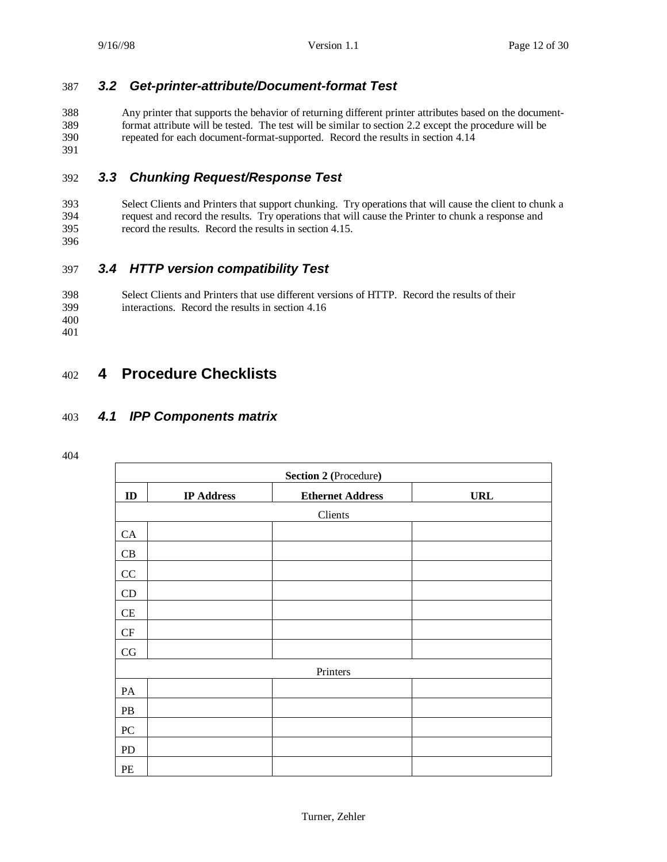## 387 *3.2 Get-printer-attribute/Document-format Test*

 Any printer that supports the behavior of returning different printer attributes based on the document- format attribute will be tested. The test will be similar to section 2.2 except the procedure will be repeated for each document-format-supported. Record the results in section 4.14 391

## 392 *3.3 Chunking Request/Response Test*

393 Select Clients and Printers that support chunking. Try operations that will cause the client to chunk a reguest and record the results. Try operations that will cause the Printer to chunk a response and 394 request and record the results. Try operations that will cause the Printer to chunk a response and 395 record the results. Record the results in section 4.15.

396

## 397 *3.4 HTTP version compatibility Test*

398 Select Clients and Printers that use different versions of HTTP. Record the results of their 399 interactions. Record the results in section 4.16 400

401

## 402 **4 Procedure Checklists**

## 403 *4.1 IPP Components matrix*

| <b>Section 2 (Procedure)</b> |                   |                         |            |
|------------------------------|-------------------|-------------------------|------------|
| $\mathbf{ID}$                | <b>IP Address</b> | <b>Ethernet Address</b> | <b>URL</b> |
|                              |                   | Clients                 |            |
| CA                           |                   |                         |            |
| CB                           |                   |                         |            |
| $\rm CC$                     |                   |                         |            |
| CD                           |                   |                         |            |
| CE                           |                   |                         |            |
| $\cal{CF}$                   |                   |                         |            |
| $\rm{CG}$                    |                   |                         |            |
|                              |                   | Printers                |            |
| PA                           |                   |                         |            |
| PB                           |                   |                         |            |
| ${\rm P}{\bf C}$             |                   |                         |            |
| PD                           |                   |                         |            |
| PE                           |                   |                         |            |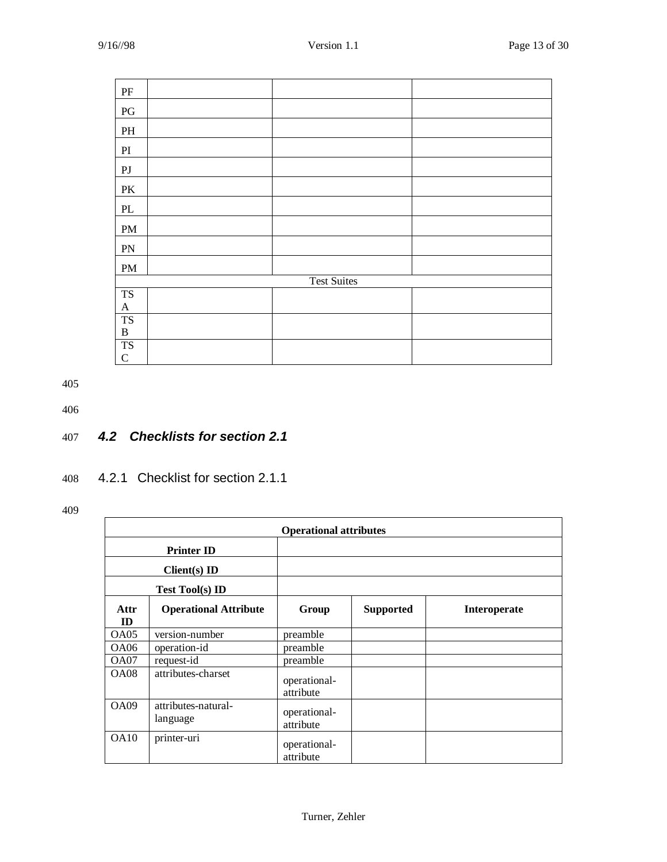| $\rm PF$               |                    |  |
|------------------------|--------------------|--|
| PG                     |                    |  |
| $\mathbf{PH}$          |                    |  |
| $\mathbf{P}\mathbf{I}$ |                    |  |
| ${\rm PJ}$             |                    |  |
| $\mathbf{P}\mathbf{K}$ |                    |  |
| $\mathbf{PL}$          |                    |  |
| $\mathbf{PM}$          |                    |  |
| PN                     |                    |  |
| PM                     |                    |  |
|                        | <b>Test Suites</b> |  |
| <b>TS</b>              |                    |  |
| $\mathbf{A}$           |                    |  |
| <b>TS</b>              |                    |  |
| $\, {\bf B}$           |                    |  |
| <b>TS</b>              |                    |  |
| $\mathbf C$            |                    |  |

406

## 407 *4.2 Checklists for section 2.1*

## 408 4.2.1 Checklist for section 2.1.1

|             | <b>Operational attributes</b>   |                           |                  |              |
|-------------|---------------------------------|---------------------------|------------------|--------------|
|             | <b>Printer ID</b>               |                           |                  |              |
|             | $Client(s)$ ID                  |                           |                  |              |
|             | <b>Test Tool(s) ID</b>          |                           |                  |              |
| Attr<br>ID  | <b>Operational Attribute</b>    | Group                     | <b>Supported</b> | Interoperate |
| OA05        | version-number                  | preamble                  |                  |              |
| OA06        | operation-id                    | preamble                  |                  |              |
| OA07        | request-id                      | preamble                  |                  |              |
| <b>OA08</b> | attributes-charset              | operational-<br>attribute |                  |              |
| OA09        | attributes-natural-<br>language | operational-<br>attribute |                  |              |
| OA10        | printer-uri                     | operational-<br>attribute |                  |              |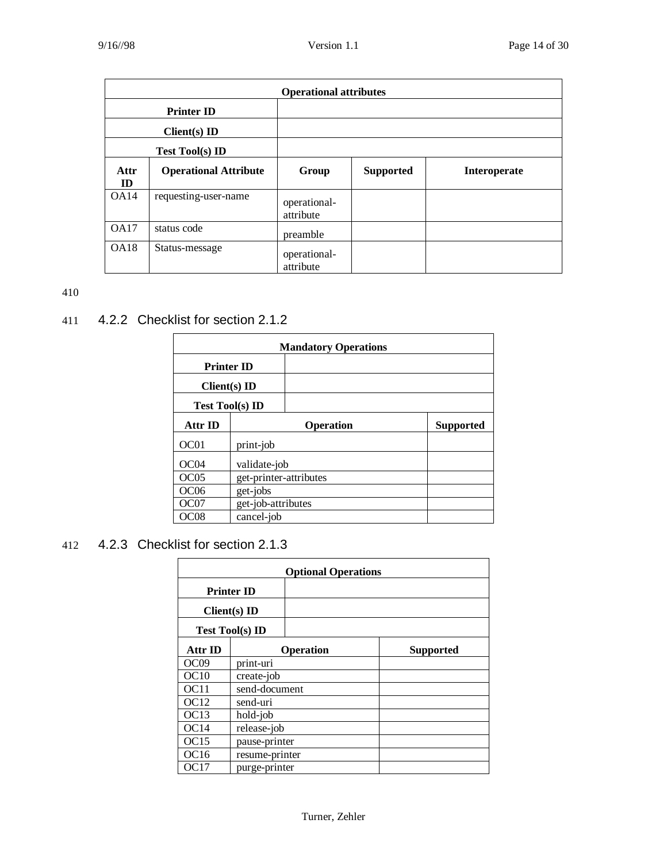|                   | <b>Operational attributes</b> |                           |                  |                     |  |
|-------------------|-------------------------------|---------------------------|------------------|---------------------|--|
| <b>Printer ID</b> |                               |                           |                  |                     |  |
|                   | $Client(s)$ ID                |                           |                  |                     |  |
|                   | <b>Test Tool(s) ID</b>        |                           |                  |                     |  |
| Attr<br>ID        | <b>Operational Attribute</b>  | Group                     | <b>Supported</b> | <b>Interoperate</b> |  |
| OA14              | requesting-user-name          | operational-<br>attribute |                  |                     |  |
| OA17              | status code                   | preamble                  |                  |                     |  |
| OA18              | Status-message                | operational-<br>attribute |                  |                     |  |

## 411 4.2.2 Checklist for section 2.1.2

| <b>Mandatory Operations</b> |                        |                  |  |  |
|-----------------------------|------------------------|------------------|--|--|
|                             | <b>Printer ID</b>      |                  |  |  |
|                             | $Client(s)$ ID         |                  |  |  |
|                             | <b>Test Tool(s) ID</b> |                  |  |  |
| Attr ID                     | <b>Operation</b>       | <b>Supported</b> |  |  |
| OC01                        | print-job              |                  |  |  |
| OC04                        | validate-job           |                  |  |  |
| OC <sub>05</sub>            | get-printer-attributes |                  |  |  |
| OC <sub>06</sub>            | get-jobs               |                  |  |  |
| OC07                        | get-job-attributes     |                  |  |  |
| OC08                        | cancel-job             |                  |  |  |

## 412 4.2.3 Checklist for section 2.1.3

| <b>Optional Operations</b> |                        |                  |                  |
|----------------------------|------------------------|------------------|------------------|
|                            | <b>Printer ID</b>      |                  |                  |
|                            | $Client(s)$ ID         |                  |                  |
|                            | <b>Test Tool(s) ID</b> |                  |                  |
| Attr ID                    |                        | <b>Operation</b> | <b>Supported</b> |
| OC <sub>09</sub>           | print-uri              |                  |                  |
| OC10                       | create-job             |                  |                  |
| OC <sub>11</sub>           | send-document          |                  |                  |
| OC <sub>12</sub>           | send-uri               |                  |                  |
| OC13                       | hold-job               |                  |                  |
| OC14                       | release-job            |                  |                  |
| OC15                       | pause-printer          |                  |                  |
| OC <sub>16</sub>           | resume-printer         |                  |                  |
| OC17                       | purge-printer          |                  |                  |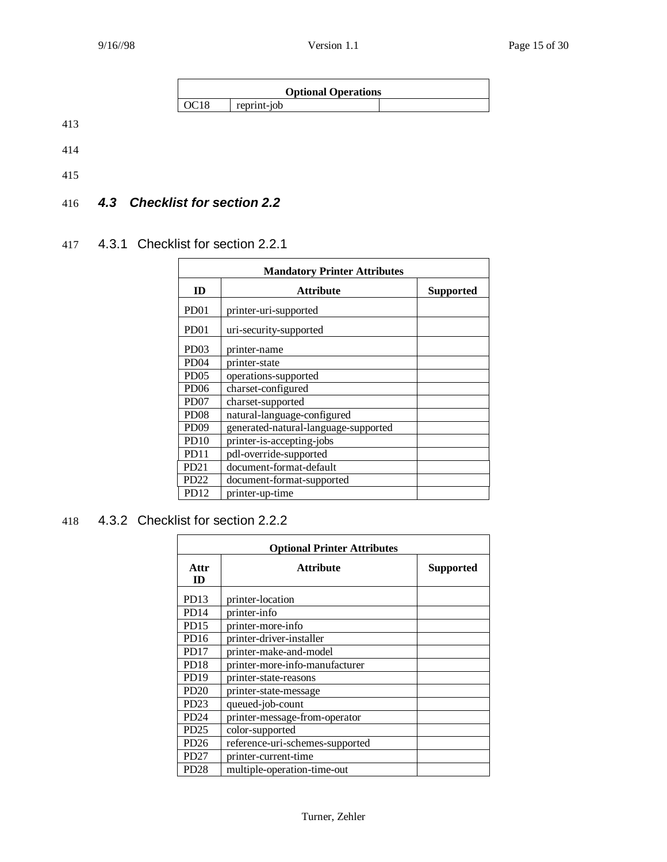



## 416 *4.3 Checklist for section 2.2*

## 417 4.3.1 Checklist for section 2.2.1

| <b>Mandatory Printer Attributes</b> |                                      |                  |  |
|-------------------------------------|--------------------------------------|------------------|--|
| ID                                  | <b>Attribute</b>                     | <b>Supported</b> |  |
| PD <sub>01</sub>                    | printer-uri-supported                |                  |  |
| PD <sub>01</sub>                    | uri-security-supported               |                  |  |
| PD <sub>03</sub>                    | printer-name                         |                  |  |
| PD <sub>04</sub>                    | printer-state                        |                  |  |
| PD <sub>05</sub>                    | operations-supported                 |                  |  |
| PD <sub>06</sub>                    | charset-configured                   |                  |  |
| PD <sub>07</sub>                    | charset-supported                    |                  |  |
| <b>PD08</b>                         | natural-language-configured          |                  |  |
| PD <sub>09</sub>                    | generated-natural-language-supported |                  |  |
| <b>PD10</b>                         | printer-is-accepting-jobs            |                  |  |
| PD <sub>11</sub>                    | pdl-override-supported               |                  |  |
| PD <sub>21</sub>                    | document-format-default              |                  |  |
| PD <sub>22</sub>                    | document-format-supported            |                  |  |
| PD <sub>12</sub>                    | printer-up-time                      |                  |  |

## 418 4.3.2 Checklist for section 2.2.2

| <b>Optional Printer Attributes</b> |                                      |  |  |  |  |  |
|------------------------------------|--------------------------------------|--|--|--|--|--|
| Attr<br>ID                         | <b>Attribute</b><br><b>Supported</b> |  |  |  |  |  |
| PD <sub>13</sub>                   | printer-location                     |  |  |  |  |  |
| PD <sub>14</sub>                   | printer-info                         |  |  |  |  |  |
| PD15                               | printer-more-info                    |  |  |  |  |  |
| PD <sub>16</sub>                   | printer-driver-installer             |  |  |  |  |  |
| PD <sub>17</sub>                   | printer-make-and-model               |  |  |  |  |  |
| PD <sub>18</sub>                   | printer-more-info-manufacturer       |  |  |  |  |  |
| <b>PD19</b>                        | printer-state-reasons                |  |  |  |  |  |
| PD20                               | printer-state-message                |  |  |  |  |  |
| PD <sub>23</sub>                   | queued-job-count                     |  |  |  |  |  |
| PD <sub>24</sub>                   | printer-message-from-operator        |  |  |  |  |  |
| PD25                               | color-supported                      |  |  |  |  |  |
| PD26                               | reference-uri-schemes-supported      |  |  |  |  |  |
| PD <sub>27</sub>                   | printer-current-time                 |  |  |  |  |  |
| PD <sub>28</sub>                   | multiple-operation-time-out          |  |  |  |  |  |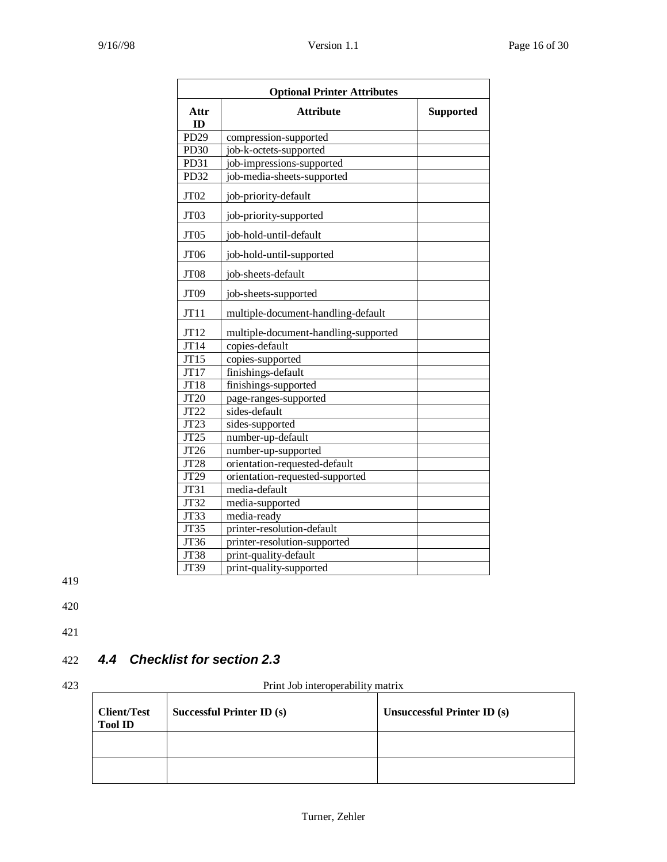| <b>Optional Printer Attributes</b> |                                      |                  |  |  |
|------------------------------------|--------------------------------------|------------------|--|--|
| Attr<br>ID                         | <b>Attribute</b>                     | <b>Supported</b> |  |  |
| PD <sub>29</sub>                   | compression-supported                |                  |  |  |
| PD <sub>30</sub>                   | job-k-octets-supported               |                  |  |  |
| PD31                               | job-impressions-supported            |                  |  |  |
| PD32                               | job-media-sheets-supported           |                  |  |  |
| JT <sub>02</sub>                   | job-priority-default                 |                  |  |  |
| JT03                               | job-priority-supported               |                  |  |  |
| JT05                               | job-hold-until-default               |                  |  |  |
| JT <sub>06</sub>                   | job-hold-until-supported             |                  |  |  |
| JT08                               | job-sheets-default                   |                  |  |  |
| JT09                               | job-sheets-supported                 |                  |  |  |
| JT11                               | multiple-document-handling-default   |                  |  |  |
| JT12                               | multiple-document-handling-supported |                  |  |  |
| JT14                               | copies-default                       |                  |  |  |
| JT15                               | copies-supported                     |                  |  |  |
| JT17                               | finishings-default                   |                  |  |  |
| JT18                               | finishings-supported                 |                  |  |  |
| <b>JT20</b>                        | page-ranges-supported                |                  |  |  |
| JT22                               | sides-default                        |                  |  |  |
| JT23                               | sides-supported                      |                  |  |  |
| JT25                               | number-up-default                    |                  |  |  |
| JT26                               | number-up-supported                  |                  |  |  |
| JT28                               | orientation-requested-default        |                  |  |  |
| JT29                               | orientation-requested-supported      |                  |  |  |
| JT31                               | media-default                        |                  |  |  |
| JT32                               | media-supported                      |                  |  |  |
| JT33                               | media-ready                          |                  |  |  |
| <b>JT35</b>                        | printer-resolution-default           |                  |  |  |
| JT36                               | printer-resolution-supported         |                  |  |  |
| JT38                               | print-quality-default                |                  |  |  |
| JT39                               | print-quality-supported              |                  |  |  |

420

421

## 422 *4.4 Checklist for section 2.3*

423 Print Job interoperability matrix

| <b>Client/Test</b><br><b>Tool ID</b> | Successful Printer ID (s) | Unsuccessful Printer ID (s) |
|--------------------------------------|---------------------------|-----------------------------|
|                                      |                           |                             |
|                                      |                           |                             |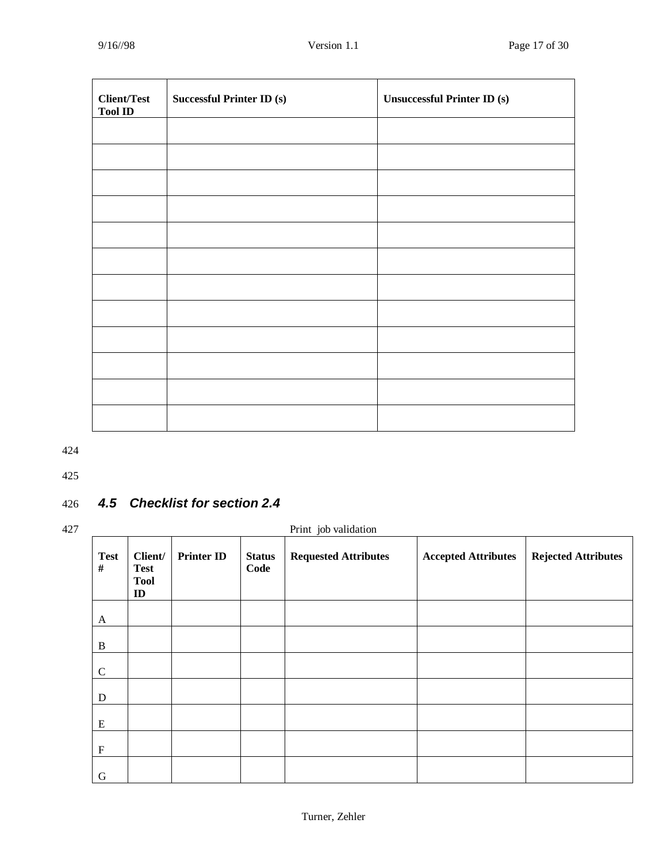| <b>Client/Test</b><br><b>Tool ID</b> | Successful Printer ID $(\mathbf{s})$ | <b>Unsuccessful Printer ID (s)</b> |
|--------------------------------------|--------------------------------------|------------------------------------|
|                                      |                                      |                                    |
|                                      |                                      |                                    |
|                                      |                                      |                                    |
|                                      |                                      |                                    |
|                                      |                                      |                                    |
|                                      |                                      |                                    |
|                                      |                                      |                                    |
|                                      |                                      |                                    |
|                                      |                                      |                                    |
|                                      |                                      |                                    |
|                                      |                                      |                                    |
|                                      |                                      |                                    |

425

## 426 *4.5 Checklist for section 2.4*

| 427 |                  |                                                        |                   |                       | Print job validation        |                            |                            |
|-----|------------------|--------------------------------------------------------|-------------------|-----------------------|-----------------------------|----------------------------|----------------------------|
|     | <b>Test</b><br># | Client/<br><b>Test</b><br><b>Tool</b><br>$\mathbf{ID}$ | <b>Printer ID</b> | <b>Status</b><br>Code | <b>Requested Attributes</b> | <b>Accepted Attributes</b> | <b>Rejected Attributes</b> |
|     | A                |                                                        |                   |                       |                             |                            |                            |
|     | B                |                                                        |                   |                       |                             |                            |                            |
|     | $\mathbf C$      |                                                        |                   |                       |                             |                            |                            |
|     | ${\bf D}$        |                                                        |                   |                       |                             |                            |                            |
|     | ${\bf E}$        |                                                        |                   |                       |                             |                            |                            |
|     | $\mathbf F$      |                                                        |                   |                       |                             |                            |                            |
|     | G                |                                                        |                   |                       |                             |                            |                            |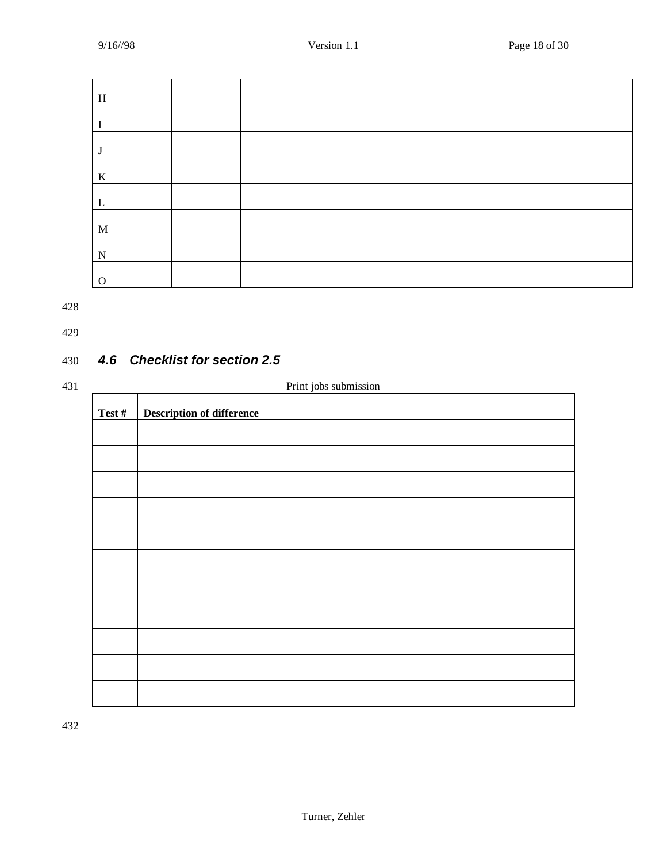| H           |  |  |  |
|-------------|--|--|--|
|             |  |  |  |
| J           |  |  |  |
| $\bf K$     |  |  |  |
| L           |  |  |  |
| $\mathbf M$ |  |  |  |
| N           |  |  |  |
| $\Omega$    |  |  |  |

429

## 430 *4.6 Checklist for section 2.5*

| ۰, |                  |  |
|----|------------------|--|
|    | I<br>I<br>v<br>× |  |

| Print jobs submission |                                  |  |  |
|-----------------------|----------------------------------|--|--|
| Test #                | <b>Description of difference</b> |  |  |
|                       |                                  |  |  |
|                       |                                  |  |  |
|                       |                                  |  |  |
|                       |                                  |  |  |
|                       |                                  |  |  |
|                       |                                  |  |  |
|                       |                                  |  |  |
|                       |                                  |  |  |
|                       |                                  |  |  |
|                       |                                  |  |  |
|                       |                                  |  |  |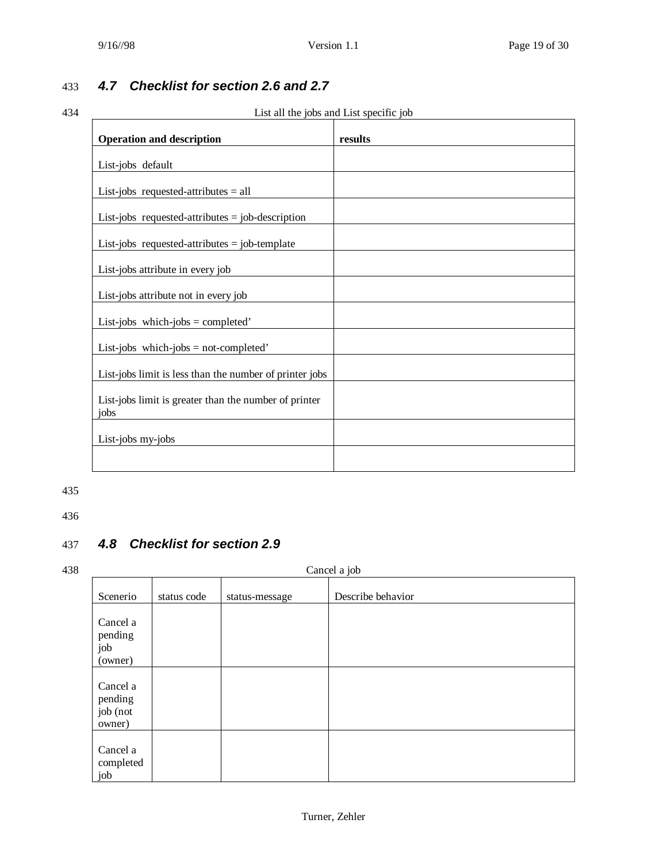## 433 *4.7 Checklist for section 2.6 and 2.7*

## 434 List all the jobs and List specific job

| <b>Operation and description</b>                              | results |
|---------------------------------------------------------------|---------|
| List-jobs default                                             |         |
| List-jobs requested-attributes $=$ all                        |         |
| List-jobs requested-attributes $=$ job-description            |         |
| List-jobs requested-attributes $=$ job-template               |         |
| List-jobs attribute in every job                              |         |
| List-jobs attribute not in every job                          |         |
| List-jobs which-jobs = completed'                             |         |
| List-jobs which-jobs = not-completed'                         |         |
| List-jobs limit is less than the number of printer jobs       |         |
| List-jobs limit is greater than the number of printer<br>jobs |         |
| List-jobs my-jobs                                             |         |
|                                                               |         |

#### 435

436

## 437 *4.8 Checklist for section 2.9*

#### 438 Cancel a job

| Scenerio                                  | status code | status-message | Describe behavior |
|-------------------------------------------|-------------|----------------|-------------------|
| Cancel a<br>pending<br>job<br>(owner)     |             |                |                   |
| Cancel a<br>pending<br>job (not<br>owner) |             |                |                   |
| Cancel a<br>completed<br>job              |             |                |                   |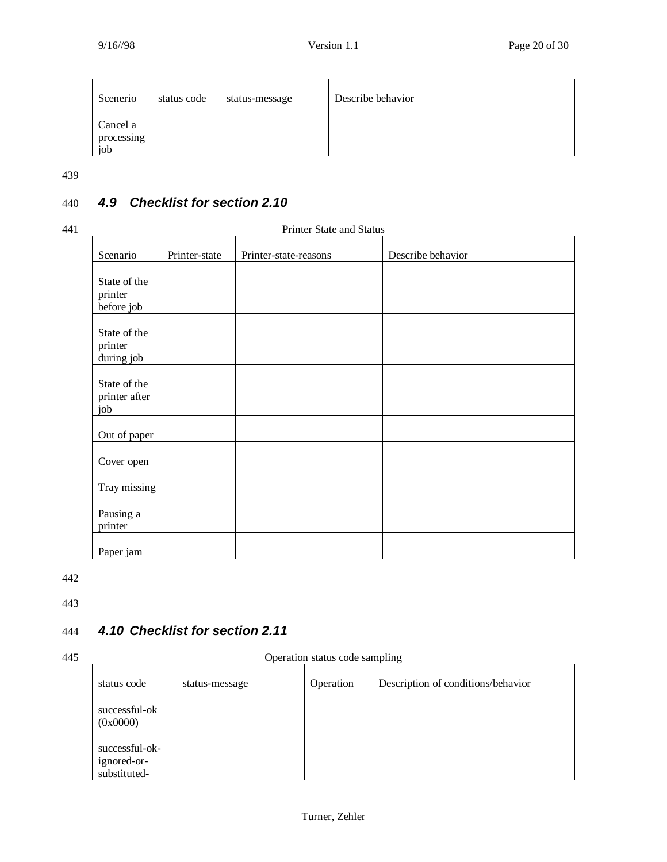| Scenerio          | status code | status-message | Describe behavior |
|-------------------|-------------|----------------|-------------------|
| Cancel a          |             |                |                   |
| processing<br>job |             |                |                   |

## 440 *4.9 Checklist for section 2.10*

#### 441 Printer State and Status

| Scenario                              | Printer-state | Printer-state-reasons | Describe behavior |
|---------------------------------------|---------------|-----------------------|-------------------|
| State of the<br>printer<br>before job |               |                       |                   |
| State of the<br>printer<br>during job |               |                       |                   |
| State of the<br>printer after<br>job  |               |                       |                   |
| Out of paper                          |               |                       |                   |
| Cover open                            |               |                       |                   |
| Tray missing                          |               |                       |                   |
| Pausing a<br>printer                  |               |                       |                   |
| Paper jam                             |               |                       |                   |

442

443

## 444 *4.10 Checklist for section 2.11*

445 Operation status code sampling

|                                               | . .            |           | ຼ                                  |
|-----------------------------------------------|----------------|-----------|------------------------------------|
| status code                                   | status-message | Operation | Description of conditions/behavior |
| successful-ok                                 |                |           |                                    |
| (0x0000)                                      |                |           |                                    |
| successful-ok-<br>ignored-or-<br>substituted- |                |           |                                    |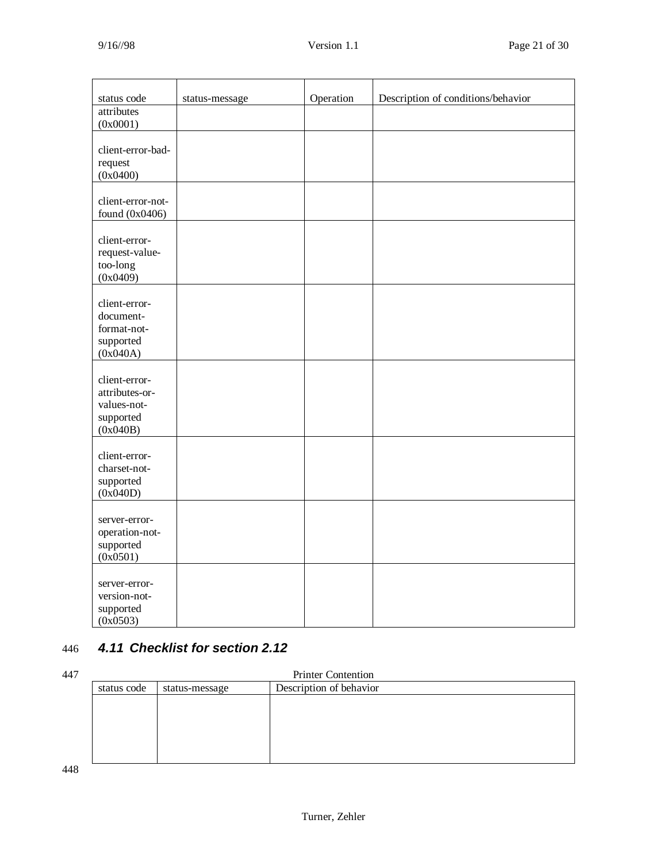| status code                                                             | status-message | Operation | Description of conditions/behavior |
|-------------------------------------------------------------------------|----------------|-----------|------------------------------------|
| attributes<br>(0x0001)                                                  |                |           |                                    |
| client-error-bad-<br>request<br>(0x0400)                                |                |           |                                    |
| client-error-not-<br>found $(0x0406)$                                   |                |           |                                    |
| client-error-<br>request-value-<br>too-long<br>(0x0409)                 |                |           |                                    |
| client-error-<br>document-<br>format-not-<br>supported<br>(0x040A)      |                |           |                                    |
| client-error-<br>attributes-or-<br>values-not-<br>supported<br>(0x040B) |                |           |                                    |
| client-error-<br>charset-not-<br>supported<br>(0x040D)                  |                |           |                                    |
| server-error-<br>operation-not-<br>supported<br>(0x0501)                |                |           |                                    |
| server-error-<br>version-not-<br>supported<br>(0x0503)                  |                |           |                                    |

## 446 *4.11 Checklist for section 2.12*

| 447 | <b>Printer Contention</b>                                |  |  |  |  |
|-----|----------------------------------------------------------|--|--|--|--|
|     | Description of behavior<br>status code<br>status-message |  |  |  |  |
|     |                                                          |  |  |  |  |
|     |                                                          |  |  |  |  |
|     |                                                          |  |  |  |  |
|     |                                                          |  |  |  |  |
|     |                                                          |  |  |  |  |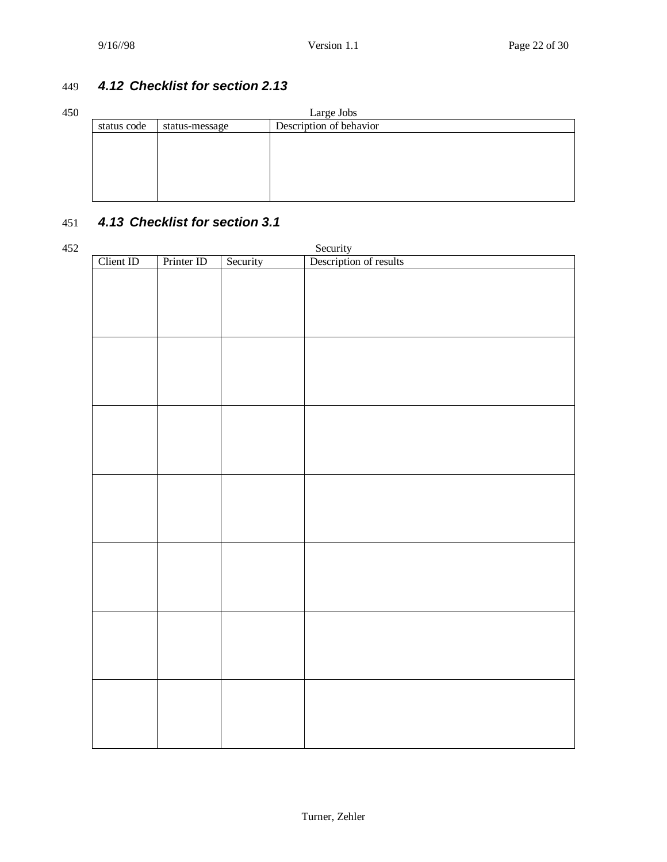## 449 *4.12 Checklist for section 2.13*

| 450 | Large Jobs  |                |                         |  |  |
|-----|-------------|----------------|-------------------------|--|--|
|     | status code | status-message | Description of behavior |  |  |
|     |             |                |                         |  |  |
|     |             |                |                         |  |  |
|     |             |                |                         |  |  |
|     |             |                |                         |  |  |
|     |             |                |                         |  |  |
|     |             |                |                         |  |  |

## 451 *4.13 Checklist for section 3.1*

| 452 |           |            |          |                                    |
|-----|-----------|------------|----------|------------------------------------|
|     | Client ID | Printer ID | Security | Security<br>Description of results |
|     |           |            |          |                                    |
|     |           |            |          |                                    |
|     |           |            |          |                                    |
|     |           |            |          |                                    |
|     |           |            |          |                                    |
|     |           |            |          |                                    |
|     |           |            |          |                                    |
|     |           |            |          |                                    |
|     |           |            |          |                                    |
|     |           |            |          |                                    |
|     |           |            |          |                                    |
|     |           |            |          |                                    |
|     |           |            |          |                                    |
|     |           |            |          |                                    |
|     |           |            |          |                                    |
|     |           |            |          |                                    |
|     |           |            |          |                                    |
|     |           |            |          |                                    |
|     |           |            |          |                                    |
|     |           |            |          |                                    |
|     |           |            |          |                                    |
|     |           |            |          |                                    |
|     |           |            |          |                                    |
|     |           |            |          |                                    |
|     |           |            |          |                                    |
|     |           |            |          |                                    |
|     |           |            |          |                                    |
|     |           |            |          |                                    |
|     |           |            |          |                                    |
|     |           |            |          |                                    |
|     |           |            |          |                                    |
|     |           |            |          |                                    |
|     |           |            |          |                                    |
|     |           |            |          |                                    |
|     |           |            |          |                                    |
|     |           |            |          |                                    |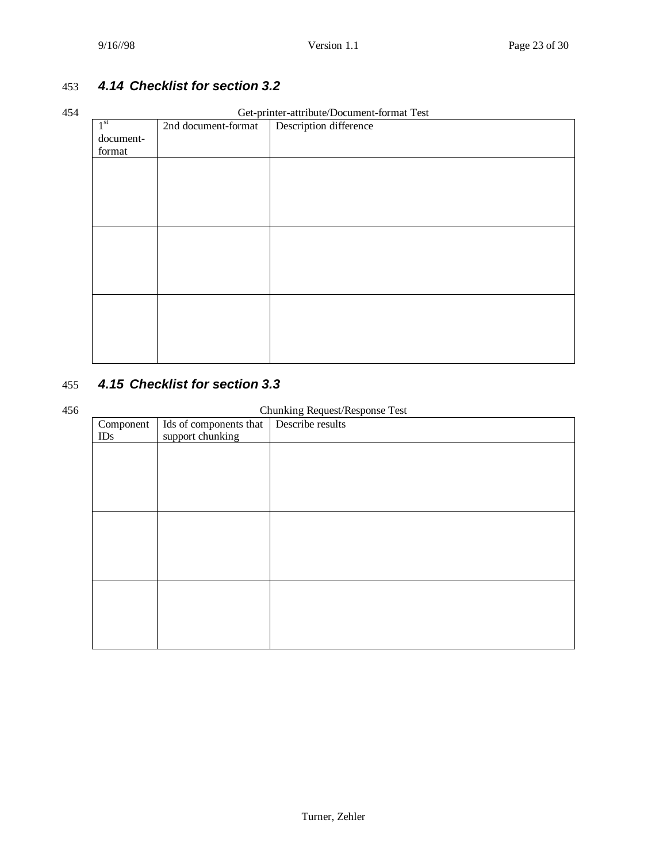## 453 *4.14 Checklist for section 3.2*

#### 454 Get-printer-attribute/Document-format Test

|                 |                     | Oct-prince-authoute/Document-format rest |
|-----------------|---------------------|------------------------------------------|
| 1 <sup>st</sup> | 2nd document-format | Description difference                   |
| document-       |                     |                                          |
| format          |                     |                                          |
|                 |                     |                                          |
|                 |                     |                                          |
|                 |                     |                                          |
|                 |                     |                                          |
|                 |                     |                                          |
|                 |                     |                                          |
|                 |                     |                                          |
|                 |                     |                                          |
|                 |                     |                                          |
|                 |                     |                                          |
|                 |                     |                                          |
|                 |                     |                                          |
|                 |                     |                                          |
|                 |                     |                                          |
|                 |                     |                                          |
|                 |                     |                                          |
|                 |                     |                                          |

## 455 *4.15 Checklist for section 3.3*

#### 456 Chunking Request/Response Test

| Component | Ids of components that   Describe results | $\sigma$ 1 $\sigma$ |
|-----------|-------------------------------------------|---------------------|
| IDs       | support chunking                          |                     |
|           |                                           |                     |
|           |                                           |                     |
|           |                                           |                     |
|           |                                           |                     |
|           |                                           |                     |
|           |                                           |                     |
|           |                                           |                     |
|           |                                           |                     |
|           |                                           |                     |
|           |                                           |                     |
|           |                                           |                     |
|           |                                           |                     |
|           |                                           |                     |
|           |                                           |                     |
|           |                                           |                     |
|           |                                           |                     |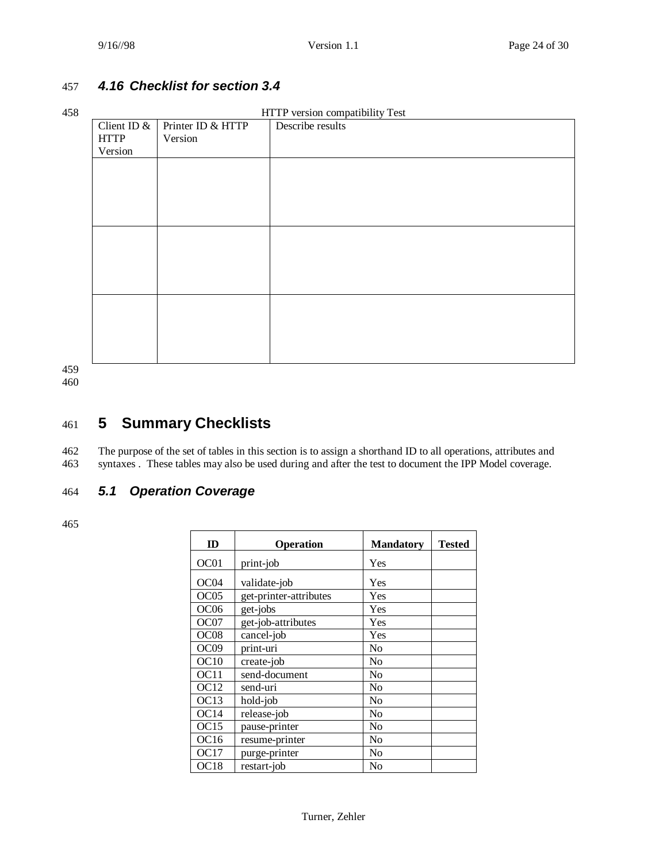## 457 *4.16 Checklist for section 3.4*

#### 458 HTTP version compatibility Test

| , |               |                   | THE RESIGN COMPATIONITY TUST |
|---|---------------|-------------------|------------------------------|
|   | Client ID $&$ | Printer ID & HTTP | Describe results             |
|   | <b>HTTP</b>   | Version           |                              |
|   | Version       |                   |                              |
|   |               |                   |                              |
|   |               |                   |                              |
|   |               |                   |                              |
|   |               |                   |                              |
|   |               |                   |                              |
|   |               |                   |                              |
|   |               |                   |                              |
|   |               |                   |                              |
|   |               |                   |                              |
|   |               |                   |                              |
|   |               |                   |                              |
|   |               |                   |                              |
|   |               |                   |                              |
|   |               |                   |                              |
|   |               |                   |                              |
|   |               |                   |                              |

459

460

## 461 **5 Summary Checklists**

462 The purpose of the set of tables in this section is to assign a shorthand ID to all operations, attributes and 463 syntaxes . These tables may also be used during and after the test to document the IPP Model coverage.

## 464 *5.1 Operation Coverage*

| ID               | <b>Operation</b>       | <b>Mandatory</b> | <b>Tested</b> |
|------------------|------------------------|------------------|---------------|
| OC01             | print-job              | Yes              |               |
| OC <sub>04</sub> | validate-job           | Yes              |               |
| OC05             | get-printer-attributes | Yes              |               |
| OC <sub>06</sub> | get-jobs               | Yes              |               |
| OC07             | get-job-attributes     | Yes              |               |
| OC <sub>08</sub> | cancel-job             | Yes              |               |
| OC09             | print-uri              | No               |               |
| OC10             | create-job             | No               |               |
| OC <sub>11</sub> | send-document          | N <sub>0</sub>   |               |
| OC <sub>12</sub> | send-uri               | No               |               |
| OC13             | hold-job               | No               |               |
| OC14             | release-job            | No               |               |
| OC15             | pause-printer          | No               |               |
| OC <sub>16</sub> | resume-printer         | No               |               |
| OC17             | purge-printer          | No               |               |
| OC <sub>18</sub> | restart-job            | No               |               |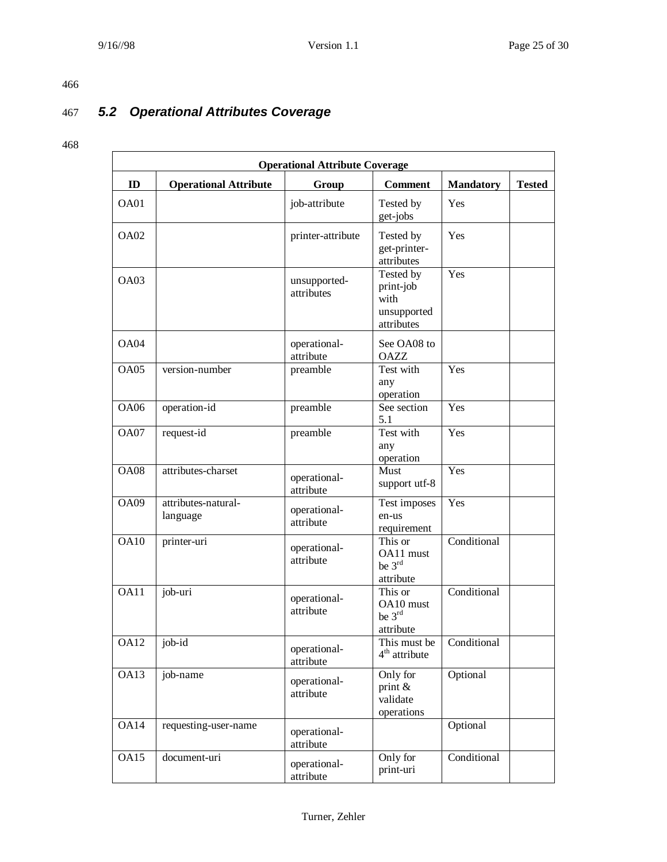## 467 *5.2 Operational Attributes Coverage*

|             | <b>Operational Attribute Coverage</b> |                            |                                                             |                  |               |  |
|-------------|---------------------------------------|----------------------------|-------------------------------------------------------------|------------------|---------------|--|
| ID          | <b>Operational Attribute</b>          | Group                      | <b>Comment</b>                                              | <b>Mandatory</b> | <b>Tested</b> |  |
| OA01        |                                       | job-attribute              | Tested by<br>get-jobs                                       | Yes              |               |  |
| OA02        |                                       | printer-attribute          | Tested by<br>get-printer-<br>attributes                     | Yes              |               |  |
| OA03        |                                       | unsupported-<br>attributes | Tested by<br>print-job<br>with<br>unsupported<br>attributes | Yes              |               |  |
| OA04        |                                       | operational-<br>attribute  | See OA08 to<br><b>OAZZ</b>                                  |                  |               |  |
| OA05        | version-number                        | preamble                   | Test with<br>any<br>operation                               | Yes              |               |  |
| <b>OA06</b> | operation-id                          | preamble                   | See section<br>5.1                                          | Yes              |               |  |
| OA07        | request-id                            | preamble                   | Test with<br>any<br>operation                               | Yes              |               |  |
| <b>OA08</b> | attributes-charset                    | operational-<br>attribute  | Must<br>support utf-8                                       | Yes              |               |  |
| <b>OA09</b> | attributes-natural-<br>language       | operational-<br>attribute  | Test imposes<br>en-us<br>requirement                        | Yes              |               |  |
| <b>OA10</b> | printer-uri                           | operational-<br>attribute  | This or<br>OA11 must<br>be 3rd<br>attribute                 | Conditional      |               |  |
| OA11        | job-uri                               | operational-<br>attribute  | This or<br>$OA10 \text{ must}$<br>be 3rd<br>attribute       | Conditional      |               |  |
| OA12        | job-id                                | operational-<br>attribute  | This must be<br>$4th$ attribute                             | Conditional      |               |  |
| OA13        | job-name                              | operational-<br>attribute  | Only for<br>print $\&$<br>validate<br>operations            | Optional         |               |  |
| OA14        | requesting-user-name                  | operational-<br>attribute  |                                                             | Optional         |               |  |
| OA15        | document-uri                          | operational-<br>attribute  | Only for<br>print-uri                                       | Conditional      |               |  |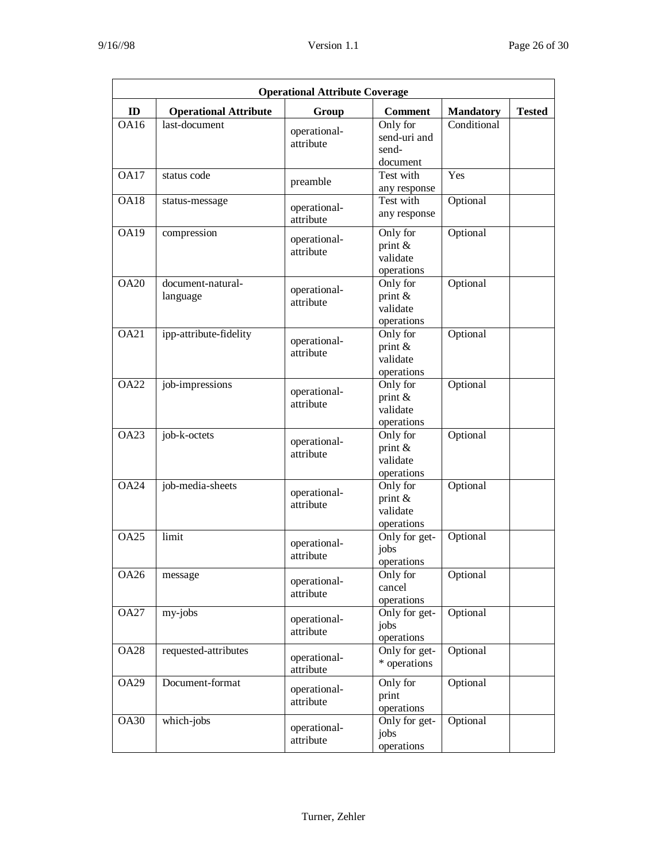| <b>Operational Attribute Coverage</b> |                               |                           |                                                  |                  |               |  |
|---------------------------------------|-------------------------------|---------------------------|--------------------------------------------------|------------------|---------------|--|
| ID                                    | <b>Operational Attribute</b>  | Group                     | <b>Comment</b>                                   | <b>Mandatory</b> | <b>Tested</b> |  |
| OA16                                  | last-document                 | operational-<br>attribute | Only for<br>send-uri and<br>send-<br>document    | Conditional      |               |  |
| <b>OA17</b>                           | status code                   | preamble                  | Test with<br>any response                        | Yes              |               |  |
| <b>OA18</b>                           | status-message                | operational-<br>attribute | Test with<br>any response                        | Optional         |               |  |
| <b>OA19</b>                           | compression                   | operational-<br>attribute | Only for<br>print $\&$<br>validate<br>operations | Optional         |               |  |
| <b>OA20</b>                           | document-natural-<br>language | operational-<br>attribute | Only for<br>print &<br>validate<br>operations    | Optional         |               |  |
| <b>OA21</b>                           | ipp-attribute-fidelity        | operational-<br>attribute | Only for<br>print $\&$<br>validate<br>operations | Optional         |               |  |
| OA22                                  | job-impressions               | operational-<br>attribute | Only for<br>print $\&$<br>validate<br>operations | Optional         |               |  |
| <b>OA23</b>                           | job-k-octets                  | operational-<br>attribute | Only for<br>print &<br>validate<br>operations    | Optional         |               |  |
| <b>OA24</b>                           | job-media-sheets              | operational-<br>attribute | Only for<br>print &<br>validate<br>operations    | Optional         |               |  |
| <b>OA25</b>                           | limit                         | operational-<br>attribute | Only for get-<br>jobs<br>operations              | Optional         |               |  |
| <b>OA26</b>                           | message                       | operational-<br>attribute | Only for<br>cancel<br>operations                 | Optional         |               |  |
| <b>OA27</b>                           | my-jobs                       | operational-<br>attribute | Only for get-<br>jobs<br>operations              | Optional         |               |  |
| <b>OA28</b>                           | requested-attributes          | operational-<br>attribute | Only for get-<br>* operations                    | Optional         |               |  |
| <b>OA29</b>                           | Document-format               | operational-<br>attribute | Only for<br>print<br>operations                  | Optional         |               |  |
| <b>OA30</b>                           | which-jobs                    | operational-<br>attribute | Only for get-<br>jobs<br>operations              | Optional         |               |  |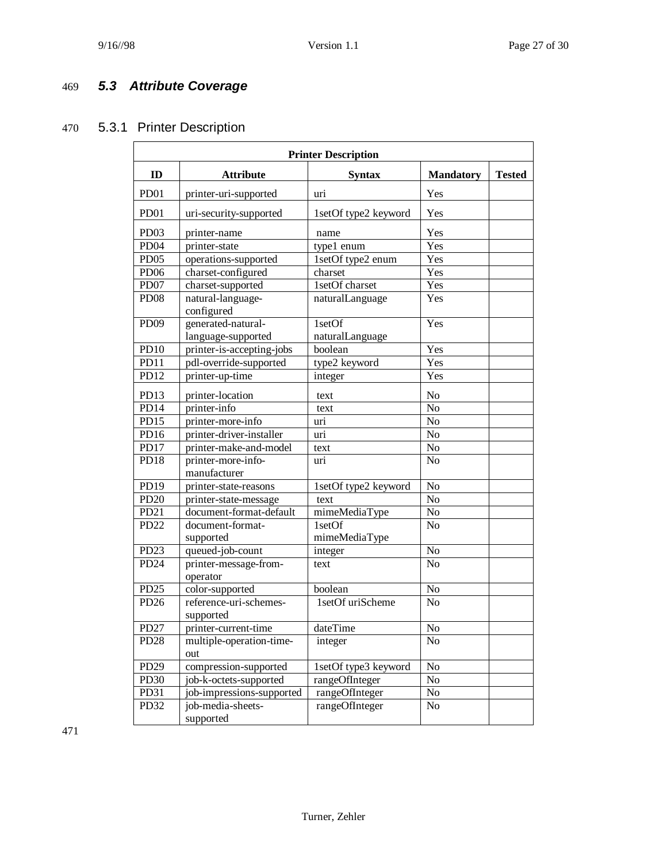## 469 *5.3 Attribute Coverage*

## 470 5.3.1 Printer Description

| <b>Printer Description</b> |                                   |                      |                  |               |  |
|----------------------------|-----------------------------------|----------------------|------------------|---------------|--|
| ID                         | <b>Attribute</b>                  | <b>Syntax</b>        | <b>Mandatory</b> | <b>Tested</b> |  |
| PD <sub>01</sub>           | printer-uri-supported             | uri                  | Yes              |               |  |
| PD <sub>01</sub>           | uri-security-supported            | 1setOf type2 keyword | Yes              |               |  |
| PD <sub>03</sub>           | printer-name                      | name                 | Yes              |               |  |
| PD <sub>04</sub>           | printer-state                     | type1 enum           | Yes              |               |  |
| PD <sub>05</sub>           | operations-supported              | 1setOf type2 enum    | Yes              |               |  |
| PD <sub>06</sub>           | charset-configured                | charset              | Yes              |               |  |
| PD <sub>07</sub>           | charset-supported                 | 1setOf charset       | Yes              |               |  |
| <b>PD08</b>                | natural-language-<br>configured   | naturalLanguage      | Yes              |               |  |
| <b>PD09</b>                | generated-natural-                | 1setOf               | Yes              |               |  |
|                            | language-supported                | naturalLanguage      |                  |               |  |
| <b>PD10</b>                | printer-is-accepting-jobs         | boolean              | Yes              |               |  |
| PD11                       | pdl-override-supported            | type2 keyword        | Yes              |               |  |
| PD12                       | printer-up-time                   | integer              | Yes              |               |  |
| PD13                       | printer-location                  | text                 | N <sub>o</sub>   |               |  |
| PD14                       | printer-info                      | text                 | N <sub>o</sub>   |               |  |
| <b>PD15</b>                | printer-more-info                 | uri                  | N <sub>o</sub>   |               |  |
| PD16                       | printer-driver-installer          | uri                  | N <sub>o</sub>   |               |  |
| PD17                       | printer-make-and-model            | text                 | No               |               |  |
| PD18                       | printer-more-info-                | uri                  | N <sub>o</sub>   |               |  |
|                            | manufacturer                      |                      |                  |               |  |
| PD19                       | printer-state-reasons             | 1setOf type2 keyword | No               |               |  |
| <b>PD20</b>                | printer-state-message             | text                 | No               |               |  |
| PD <sub>21</sub>           | document-format-default           | mimeMediaType        | No               |               |  |
| PD <sub>22</sub>           | document-format-                  | 1setOf               | No               |               |  |
|                            | supported                         | mimeMediaType        |                  |               |  |
| PD <sub>23</sub>           | queued-job-count                  | integer              | $\overline{No}$  |               |  |
| PD <sub>24</sub>           | printer-message-from-<br>operator | text                 | N <sub>o</sub>   |               |  |
| PD <sub>25</sub>           | color-supported                   | boolean              | $\rm No$         |               |  |
| PD26                       | reference-uri-schemes-            | 1setOf uriScheme     | N <sub>o</sub>   |               |  |
|                            | supported                         |                      |                  |               |  |
| <b>PD27</b>                | printer-current-time              | dateTime             | N <sub>o</sub>   |               |  |
| PD <sub>28</sub>           | multiple-operation-time-<br>out   | integer              | No               |               |  |
| PD <sub>29</sub>           | compression-supported             | 1setOf type3 keyword | No               |               |  |
| PD30                       | job-k-octets-supported            | rangeOfInteger       | No               |               |  |
| PD31                       | job-impressions-supported         | rangeOfInteger       | No               |               |  |
| PD32                       | job-media-sheets-                 | rangeOfInteger       | No               |               |  |
|                            | supported                         |                      |                  |               |  |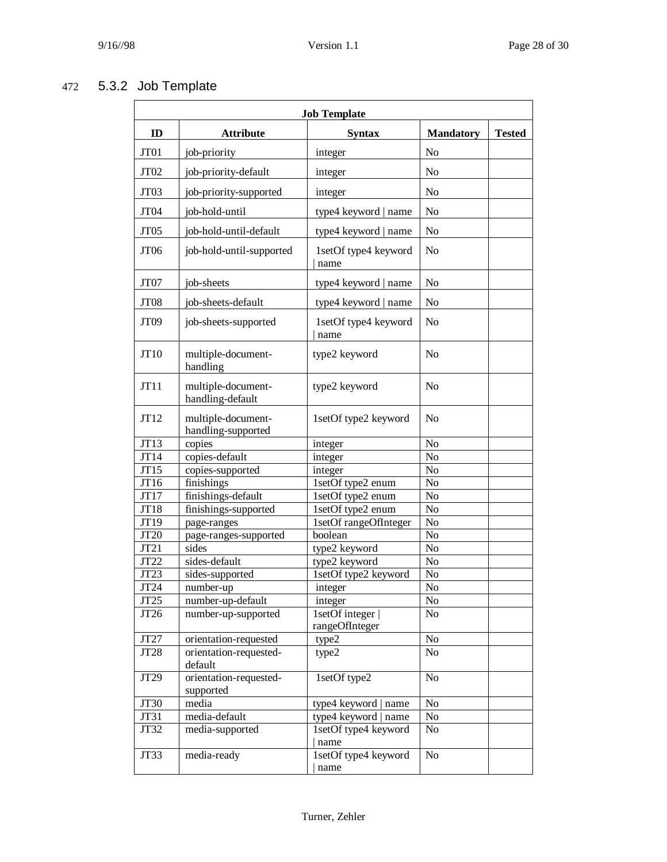## 472 5.3.2 Job Template

| <b>Job Template</b> |                                          |                                    |                  |               |
|---------------------|------------------------------------------|------------------------------------|------------------|---------------|
| ID                  | <b>Attribute</b>                         | <b>Syntax</b>                      | <b>Mandatory</b> | <b>Tested</b> |
| JT01                | job-priority                             | integer                            | N <sub>o</sub>   |               |
| JT02                | job-priority-default                     | integer                            | N <sub>0</sub>   |               |
| JT03                | job-priority-supported                   | integer                            | N <sub>o</sub>   |               |
| JT04                | job-hold-until                           | type4 keyword   name               | No               |               |
| JT05                | job-hold-until-default                   | type4 keyword   name               | N <sub>o</sub>   |               |
| JT06                | job-hold-until-supported                 | 1setOf type4 keyword<br>name       | N <sub>o</sub>   |               |
| JT07                | job-sheets                               | type4 keyword   name               | N <sub>o</sub>   |               |
| JT08                | job-sheets-default                       | type4 keyword   name               | N <sub>o</sub>   |               |
| JT09                | job-sheets-supported                     | 1setOf type4 keyword<br>name       | N <sub>o</sub>   |               |
| JT10                | multiple-document-<br>handling           | type2 keyword                      | N <sub>o</sub>   |               |
| JT11                | multiple-document-<br>handling-default   | type2 keyword                      | N <sub>o</sub>   |               |
| JT12                | multiple-document-<br>handling-supported | 1setOf type2 keyword               | N <sub>o</sub>   |               |
| JT13                | copies                                   | integer                            | N <sub>o</sub>   |               |
| JT14                | copies-default                           | integer                            | No               |               |
| JT15                | copies-supported                         | integer                            | No               |               |
| JT16                | finishings                               | 1setOf type2 enum                  | No               |               |
| JT17                | finishings-default                       | IsetOf type2 enum                  | No               |               |
| JT18                | finishings-supported                     | 1setOf type2 enum                  | No               |               |
| JT19                | page-ranges                              | 1setOf rangeOfInteger              | No               |               |
| JT20<br>JT21        | page-ranges-supported<br>sides           | boolean                            | No<br>No         |               |
| JT22                | sides-default                            | type2 keyword<br>type2 keyword     | No               |               |
| JT23                | sides-supported                          | 1setOf type2 keyword               | No               |               |
| JT24                | number-up                                | integer                            | No               |               |
| JT25                | number-up-default                        | integer                            | No               |               |
| JT26                | number-up-supported                      | 1setOf integer  <br>rangeOfInteger | No               |               |
| JT27                | orientation-requested                    | type2                              | No               |               |
| JT28                | orientation-requested-<br>default        | type2                              | N <sub>o</sub>   |               |
| JT29                | orientation-requested-<br>supported      | 1setOf type2                       | No               |               |
| <b>JT30</b>         | media                                    | type4 keyword   name               | N <sub>o</sub>   |               |
| JT31                | media-default                            | type4 keyword   name               | No               |               |
| JT32                | media-supported                          | 1setOf type4 keyword<br>name       | No               |               |
| JT33                | media-ready                              | 1setOf type4 keyword<br>name       | N <sub>o</sub>   |               |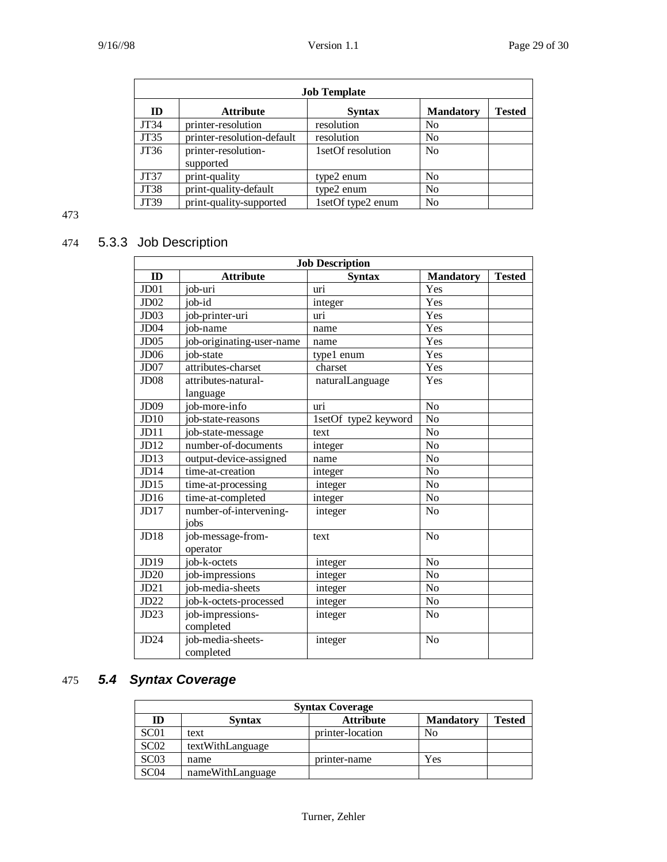| <b>Job Template</b> |                                  |                   |                  |               |
|---------------------|----------------------------------|-------------------|------------------|---------------|
| ID                  | <b>Attribute</b>                 | <b>Syntax</b>     | <b>Mandatory</b> | <b>Tested</b> |
| JT34                | printer-resolution               | resolution        | No               |               |
| JT35                | printer-resolution-default       | resolution        | N <sub>0</sub>   |               |
| JT36                | printer-resolution-<br>supported | 1setOf resolution | N <sub>0</sub>   |               |
| JT37                | print-quality                    | type2 enum        | N <sub>0</sub>   |               |
| JT38                | print-quality-default            | type2 enum        | N <sub>0</sub>   |               |
| JT39                | print-quality-supported          | 1setOf type2 enum | No               |               |

## 474 5.3.3 Job Description

| <b>Job Description</b> |                           |                      |                  |               |
|------------------------|---------------------------|----------------------|------------------|---------------|
| ID                     | <b>Attribute</b>          | <b>Syntax</b>        | <b>Mandatory</b> | <b>Tested</b> |
| J <sub>D01</sub>       | job-uri                   | uri                  | Yes              |               |
| J <sub>D</sub> 02      | job-id                    | integer              | Yes              |               |
| JD03                   | job-printer-uri           | uri                  | Yes              |               |
| JD04                   | job-name                  | name                 | Yes              |               |
| J <sub>D05</sub>       | job-originating-user-name | name                 | Yes              |               |
| JD <sub>06</sub>       | job-state                 | type1 enum           | Yes              |               |
| J <sub>D</sub> 07      | attributes-charset        | charset              | Yes              |               |
| JD08                   | attributes-natural-       | naturalLanguage      | Yes              |               |
|                        | language                  |                      |                  |               |
| JD <sub>09</sub>       | job-more-info             | uri                  | N <sub>o</sub>   |               |
| JD10                   | job-state-reasons         | 1setOf type2 keyword | N <sub>o</sub>   |               |
| JD11                   | job-state-message         | text                 | No               |               |
| JD12                   | number-of-documents       | integer              | N <sub>o</sub>   |               |
| JD13                   | output-device-assigned    | name                 | N <sub>o</sub>   |               |
| JD14                   | time-at-creation          | integer              | No               |               |
| JD15                   | time-at-processing        | integer              | N <sub>o</sub>   |               |
| JD16                   | time-at-completed         | integer              | N <sub>o</sub>   |               |
| JD17                   | number-of-intervening-    | integer              | N <sub>o</sub>   |               |
|                        | iobs                      |                      |                  |               |
| JD18                   | job-message-from-         | text                 | N <sub>o</sub>   |               |
|                        | operator                  |                      |                  |               |
| JD19                   | job-k-octets              | integer              | N <sub>o</sub>   |               |
| JD20                   | job-impressions           | integer              | N <sub>o</sub>   |               |
| JD21                   | job-media-sheets          | integer              | N <sub>o</sub>   |               |
| JD22                   | job-k-octets-processed    | integer              | N <sub>o</sub>   |               |
| JD23                   | job-impressions-          | integer              | No               |               |
|                        | completed                 |                      |                  |               |
| JD24                   | job-media-sheets-         | integer              | No               |               |
|                        | completed                 |                      |                  |               |

## 475 *5.4 Syntax Coverage*

| <b>Syntax Coverage</b> |                  |                  |                  |               |
|------------------------|------------------|------------------|------------------|---------------|
| ID                     | <b>Syntax</b>    | <b>Attribute</b> | <b>Mandatory</b> | <b>Tested</b> |
| SC01                   | text             | printer-location | No               |               |
| SC <sub>02</sub>       | textWithLanguage |                  |                  |               |
| SC <sub>03</sub>       | name             | printer-name     | Yes              |               |
| SC04                   | nameWithLanguage |                  |                  |               |